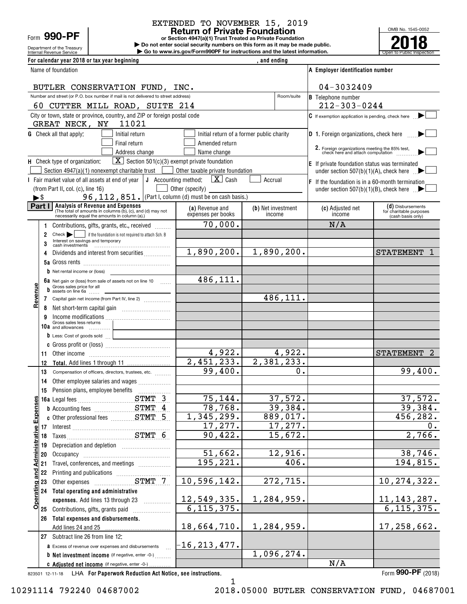# Form **990-PF**

Department of the Treasury

# EXTENDED TO NOVEMBER 15, 2019

**or Section 4947(a)(1) Trust Treated as Private Foundation Return of Private Foundation**

**| Do not enter social security numbers on this form as it may be made public. | Go to www.irs.gov/Form990PF for instructions and the latest information.**

OMB No. 1545-0052 Internal Revenue Service **Number 19th Construction Constructions and the latest information.** The Service of Public Inspection **2018**

| For calendar year 2018 or tax year beginning                                                                                     |                                                       | , and ending                              |                                                                                     |                                              |
|----------------------------------------------------------------------------------------------------------------------------------|-------------------------------------------------------|-------------------------------------------|-------------------------------------------------------------------------------------|----------------------------------------------|
| Name of foundation                                                                                                               |                                                       |                                           | A Employer identification number                                                    |                                              |
| BUTLER CONSERVATION FUND, INC.                                                                                                   |                                                       |                                           | $04 - 3032409$                                                                      |                                              |
| Number and street (or P.O. box number if mail is not delivered to street address)                                                |                                                       | Room/suite                                | <b>B</b> Telephone number                                                           |                                              |
| 60 CUTTER MILL ROAD, SUITE 214                                                                                                   |                                                       |                                           | $212 - 303 - 0244$                                                                  |                                              |
| City or town, state or province, country, and ZIP or foreign postal code<br>GREAT NECK, NY<br>11021                              |                                                       |                                           | $\mathsf C$ If exemption application is pending, check here                         |                                              |
| <b>G</b> Check all that apply:<br>Initial return                                                                                 |                                                       | Initial return of a former public charity | D 1. Foreign organizations, check here                                              |                                              |
| Final return                                                                                                                     | Amended return                                        |                                           |                                                                                     |                                              |
| Address change                                                                                                                   | Name change                                           |                                           | 2. Foreign organizations meeting the 85% test,<br>check here and attach computation |                                              |
| $\boxed{\mathbf{X}}$ Section 501(c)(3) exempt private foundation<br>H Check type of organization:                                |                                                       |                                           | $E$ If private foundation status was terminated                                     |                                              |
| Section $4947(a)(1)$ nonexempt charitable trust<br>$\sim$                                                                        | Other taxable private foundation                      |                                           | under section 507(b)(1)(A), check here $\mathbb{R}$                                 |                                              |
| I Fair market value of all assets at end of year                                                                                 | <b>J</b> Accounting method: $\boxed{\mathbf{X}}$ Cash | Accrual                                   | $F$ If the foundation is in a 60-month termination                                  |                                              |
| (from Part II, col. (c), line 16)<br>96, $112$ , $851$ . (Part I, column (d) must be on cash basis.)<br>$\blacktriangleright$ \$ | Other (specify)                                       |                                           | under section 507(b)(1)(B), check here $\Box$                                       |                                              |
| Part I<br><b>Analysis of Revenue and Expenses</b>                                                                                | (a) Revenue and                                       | (b) Net investment                        | (c) Adjusted net                                                                    | (d) Disbursements                            |
| (The total of amounts in columns (b), (c), and (d) may not<br>necessarily equal the amounts in column (a).)                      | expenses per books                                    | income                                    | income                                                                              | for charitable purposes<br>(cash basis only) |
| Contributions, gifts, grants, etc., received<br>1                                                                                | 70,000.                                               |                                           | N/A                                                                                 |                                              |
| Check       if the foundation is not required to attach Sch. B<br>2<br>Interest on savings and temporary<br>3                    |                                                       |                                           |                                                                                     |                                              |
| Dividends and interest from securities<br>4                                                                                      | 1,890,200.                                            | 1,890,200.                                |                                                                                     | <b>STATEMENT</b>                             |
|                                                                                                                                  |                                                       |                                           |                                                                                     |                                              |
| $\mathbf b$ Net rental income or (loss)                                                                                          |                                                       |                                           |                                                                                     |                                              |
| 6a Net gain or (loss) from sale of assets not on line 10 $\ldots$<br>Gross sales price for all                                   | 486,111.                                              |                                           |                                                                                     |                                              |
| Revenu<br>$\frac{1}{2}$ assets on line 6a<br>Capital gain net income (from Part IV, line 2)                                      |                                                       | 486,111.                                  |                                                                                     |                                              |
| 7<br>8                                                                                                                           |                                                       |                                           |                                                                                     |                                              |
| 9                                                                                                                                |                                                       |                                           |                                                                                     |                                              |
| Income modifications<br>Gross sales less returns<br>10a and allowances                                                           |                                                       |                                           |                                                                                     |                                              |
| $\mathbf b$ Less: Cost of goods sold $\Box$                                                                                      |                                                       |                                           |                                                                                     |                                              |
|                                                                                                                                  |                                                       |                                           |                                                                                     |                                              |
| 11<br>Other income information and the material contracts of the state of the state of the state of the state of the             | 4,922.                                                | 4,922.                                    |                                                                                     | <b>STATEMENT</b>                             |
| 12                                                                                                                               | 2,451,233.                                            | 2,381,233.                                |                                                                                     |                                              |
| 13<br>Compensation of officers, directors, trustees, etc.                                                                        | 99,400.                                               | 0.                                        |                                                                                     | 99,400.                                      |
| Other employee salaries and wages<br>14                                                                                          |                                                       |                                           |                                                                                     |                                              |
| 15<br>ဖ္ပ                                                                                                                        | $\overline{75,144}$ .                                 | 37,572.                                   |                                                                                     | 37,572.                                      |
| STMT 3                                                                                                                           | 78,768.                                               | 39,384.                                   |                                                                                     | 39,384.                                      |
| <b>b</b> Accounting fees <b>STMT</b> 4                                                                                           | 1,345,299.                                            | 889,017.                                  |                                                                                     | 456,282.                                     |
|                                                                                                                                  | 17, 277.                                              | 17,277.                                   |                                                                                     | 0.                                           |
| <b>Administrative Expense</b><br>17 Interest STMT 6                                                                              | 90,422.                                               | 15,672.                                   |                                                                                     | 2,766.                                       |
| 19                                                                                                                               |                                                       |                                           |                                                                                     |                                              |
| 20                                                                                                                               | 51,662.                                               | 12,916.                                   |                                                                                     | 38,746.                                      |
| Travel, conferences, and meetings<br>21                                                                                          | 195,221.                                              | 406.                                      |                                                                                     | 194,815.                                     |
| and.<br>22                                                                                                                       |                                                       |                                           |                                                                                     |                                              |
| 23                                                                                                                               | 10,596,142.                                           | 272,715.                                  |                                                                                     | 10, 274, 322.                                |
| <b>Operating</b><br>24 Total operating and administrative                                                                        |                                                       |                                           |                                                                                     |                                              |
| expenses. Add lines 13 through 23                                                                                                | 12,549,335.                                           | 1,284,959.                                |                                                                                     | <u>11, 143, 287.</u>                         |
| 25 Contributions, gifts, grants paid                                                                                             | 6, 115, 375.                                          |                                           |                                                                                     | 6, 115, 375.                                 |
| 26 Total expenses and disbursements.                                                                                             | 18,664,710.                                           | 1,284,959.                                |                                                                                     | 17,258,662.                                  |
| Add lines 24 and 25<br>27 Subtract line 26 from line 12:                                                                         |                                                       |                                           |                                                                                     |                                              |
| <b>a</b> Excess of revenue over expenses and disbursements                                                                       | $-16$ , 213, 477.                                     |                                           |                                                                                     |                                              |
| <b>b</b> Net investment income (if negative, enter -0-)                                                                          |                                                       | 1,096,274.                                |                                                                                     |                                              |
| C Adjusted net income (if negative, enter -0-)                                                                                   |                                                       |                                           | N/A                                                                                 |                                              |

823501 12-11-18 LHA **For Paperwork Reduction Act Notice, see instructions.** Form **990-PF** (2018)

**990-PF**

1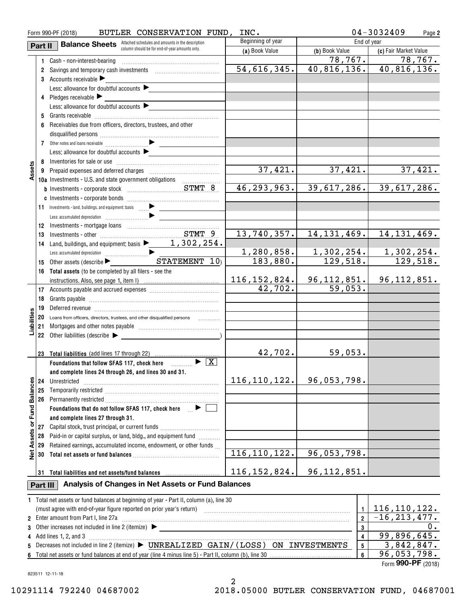|                             |          | BUTLER CONSERVATION FUND,<br>Form 990-PF (2018)                                                                                                                                                                                     | INC.                  |                         | $04 - 3032409$<br>Page 2      |
|-----------------------------|----------|-------------------------------------------------------------------------------------------------------------------------------------------------------------------------------------------------------------------------------------|-----------------------|-------------------------|-------------------------------|
|                             | Part II  | <b>Balance Sheets</b> Attached schedules and amounts in the description                                                                                                                                                             | Beginning of year     | End of year             |                               |
|                             |          | column should be for end-of-year amounts only.                                                                                                                                                                                      | (a) Book Value        | (b) Book Value          | (c) Fair Market Value         |
|                             |          | 1 Cash - non-interest-bearing                                                                                                                                                                                                       |                       | 78, 767.                | 78,767.                       |
|                             |          | 2 Savings and temporary cash investments [1001] Savings and temporary cash investments                                                                                                                                              | 54,616,345.           |                         | $40,816,136.$ $40,816,136.$   |
|                             |          | 3 Accounts receivable $\blacktriangleright$                                                                                                                                                                                         |                       |                         |                               |
|                             |          | Less: allowance for doubtful accounts                                                                                                                                                                                               |                       |                         |                               |
|                             |          | 4 Pledges receivable                                                                                                                                                                                                                |                       |                         |                               |
|                             |          | Less: allowance for doubtful accounts $\blacktriangleright$                                                                                                                                                                         |                       |                         |                               |
|                             | 5        |                                                                                                                                                                                                                                     |                       |                         |                               |
|                             | 6        | Receivables due from officers, directors, trustees, and other                                                                                                                                                                       |                       |                         |                               |
|                             |          |                                                                                                                                                                                                                                     |                       |                         |                               |
|                             |          |                                                                                                                                                                                                                                     |                       |                         |                               |
|                             |          | Less: allowance for doubtful accounts $\blacktriangleright$                                                                                                                                                                         |                       |                         |                               |
|                             |          |                                                                                                                                                                                                                                     |                       |                         |                               |
| Assets                      |          |                                                                                                                                                                                                                                     | 37,421.               | 37,421.                 | 37,421.                       |
|                             |          | 10a Investments - U.S. and state government obligations                                                                                                                                                                             |                       |                         |                               |
|                             |          |                                                                                                                                                                                                                                     | 46, 293, 963.         | 39,617,286.             | 39,617,286.                   |
|                             |          |                                                                                                                                                                                                                                     |                       |                         |                               |
|                             |          |                                                                                                                                                                                                                                     |                       |                         |                               |
|                             |          | 11 Investments - land, buildings, and equipment: basis                                                                                                                                                                              |                       |                         |                               |
|                             |          | Less: accumulated depreciation (1) and the contract of the contract of the contract of the contract of the contract of the contract of the contract of the contract of the contract of the contract of the contract of the con      |                       |                         |                               |
|                             |          |                                                                                                                                                                                                                                     |                       |                         |                               |
|                             | 13       |                                                                                                                                                                                                                                     | 13,740,357.           | 14, 131, 469.           | 14, 131, 469.                 |
|                             | 14       | Land, buildings, and equipment: basis $\blacktriangleright$ 1, 302, 254.                                                                                                                                                            |                       |                         |                               |
|                             |          |                                                                                                                                                                                                                                     | 1,280,858.            | 1,302,254.              | $\frac{1,302,254.}{129,518.}$ |
|                             | 15       | Other assets (describe $\blacktriangleright$ STATEMENT $\overline{10}$ )                                                                                                                                                            | 183,880.              | $\overline{129,518.}$   |                               |
|                             |          | 16 Total assets (to be completed by all filers - see the                                                                                                                                                                            |                       |                         |                               |
|                             |          |                                                                                                                                                                                                                                     | 116, 152, 824.        | <u>96,112,</u> 851.     | 96, 112, 851.                 |
|                             |          |                                                                                                                                                                                                                                     | $\overline{42,702}$ . | $\overline{5}9,053.$    |                               |
|                             | 18       |                                                                                                                                                                                                                                     |                       |                         |                               |
|                             | 19       |                                                                                                                                                                                                                                     |                       |                         |                               |
| Liabilities                 |          | 20 Loans from officers, directors, trustees, and other disqualified persons<br>.                                                                                                                                                    |                       |                         |                               |
|                             |          |                                                                                                                                                                                                                                     |                       |                         |                               |
|                             |          | 22 Other liabilities (describe                                                                                                                                                                                                      |                       |                         |                               |
|                             |          |                                                                                                                                                                                                                                     |                       |                         |                               |
|                             |          | 23 Total liabilities (add lines 17 through 22)                                                                                                                                                                                      | 42,702.               | 59,053.                 |                               |
|                             |          | Foundations that follow SFAS 117, check here $\Box$                                                                                                                                                                                 |                       |                         |                               |
|                             |          | and complete lines 24 through 26, and lines 30 and 31.                                                                                                                                                                              |                       |                         |                               |
|                             | 24       | Unrestricted                                                                                                                                                                                                                        | 116, 110, 122.        | 96,053,798.             |                               |
|                             | 25       |                                                                                                                                                                                                                                     |                       |                         |                               |
|                             | 26       |                                                                                                                                                                                                                                     |                       |                         |                               |
|                             |          | Foundations that do not follow SFAS 117, check here $\Box$                                                                                                                                                                          |                       |                         |                               |
|                             |          | and complete lines 27 through 31.                                                                                                                                                                                                   |                       |                         |                               |
|                             | 27       | Capital stock, trust principal, or current funds                                                                                                                                                                                    |                       |                         |                               |
|                             | 28       | Paid-in or capital surplus, or land, bldg., and equipment fund <i>minimal</i>                                                                                                                                                       |                       |                         |                               |
|                             | 29       | Retained earnings, accumulated income, endowment, or other funds                                                                                                                                                                    |                       |                         |                               |
| Net Assets or Fund Balances | 30       |                                                                                                                                                                                                                                     | 116, 110, 122.        | 96,053,798.             |                               |
|                             |          |                                                                                                                                                                                                                                     |                       |                         |                               |
|                             |          | 31 Total liabilities and net assets/fund balances manufactured and results of the set of the set of the set of the set of the set of the set of the set of the set of the set of the set of the set of the set of the set of t      | 116,152,824.          | 96, 112, 851.           |                               |
|                             | Part III | Analysis of Changes in Net Assets or Fund Balances                                                                                                                                                                                  |                       |                         |                               |
|                             |          | 1 Total net assets or fund balances at beginning of year - Part II, column (a), line 30                                                                                                                                             |                       |                         |                               |
|                             |          | (must agree with end-of-year figure reported on prior year's return) with an accommutation and agree with end-of-year figure reported on prior year's return)                                                                       |                       | $\mathbf{1}$            | 116, 110, 122.                |
|                             |          | 2 Enter amount from Part I, line 27a                                                                                                                                                                                                |                       | $\overline{\mathbf{2}}$ | $-16, 213, 477.$              |
|                             |          | 3 Other increases not included in line 2 (itemize) <b>Decrease and Conservation</b> Chemical Conservation Chemical Chemical Chemical Chemical Chemical Chemical Chemical Chemical Chemical Chemical Chemical Chemical Chemical Chem |                       | 3                       | 0.                            |
|                             |          | 4 Add lines 1, 2, and 3                                                                                                                                                                                                             |                       | 4                       | 99,896,645.                   |
|                             |          | 5 Decreases not included in line 2 (itemize) > UNREALIZED GAIN/(LOSS) ON INVESTMENTS                                                                                                                                                |                       | 5                       | 3,842,847.                    |
|                             |          |                                                                                                                                                                                                                                     |                       | 6                       | 96,053,798.                   |

Form (2018) **990-PF**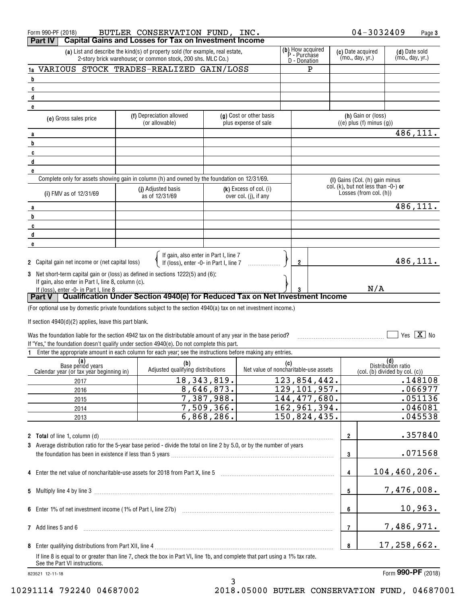| $04 - 3032409$<br>BUTLER CONSERVATION FUND, INC.<br>Form 990-PF (2018)<br><b>Capital Gains and Losses for Tax on Investment Income</b><br>Part IV                                                                                        | Page 3                                                                     |
|------------------------------------------------------------------------------------------------------------------------------------------------------------------------------------------------------------------------------------------|----------------------------------------------------------------------------|
| (b) How acquired<br>P - Purchase<br>D - Donation<br>(a) List and describe the kind(s) of property sold (for example, real estate,<br>(c) Date acquired<br>(mo., day, yr.)<br>2-story brick warehouse; or common stock, 200 shs. MLC Co.) | (d) Date sold<br>(mo., day, yr.)                                           |
| VARIOUS STOCK TRADES-REALIZED GAIN/LOSS<br>P<br>1a                                                                                                                                                                                       |                                                                            |
| b                                                                                                                                                                                                                                        |                                                                            |
| C                                                                                                                                                                                                                                        |                                                                            |
| $\mathbf{d}$                                                                                                                                                                                                                             |                                                                            |
| e                                                                                                                                                                                                                                        |                                                                            |
| (h) Gain or (loss)<br>(f) Depreciation allowed<br>(g) Cost or other basis<br>(e) Gross sales price<br>$((e)$ plus $(f)$ minus $(g)$ )<br>(or allowable)<br>plus expense of sale                                                          |                                                                            |
| a                                                                                                                                                                                                                                        | 486,111.                                                                   |
| b                                                                                                                                                                                                                                        |                                                                            |
| C                                                                                                                                                                                                                                        |                                                                            |
| d                                                                                                                                                                                                                                        |                                                                            |
| e                                                                                                                                                                                                                                        |                                                                            |
| Complete only for assets showing gain in column (h) and owned by the foundation on 12/31/69.<br>(I) Gains (Col. (h) gain minus                                                                                                           |                                                                            |
| col. (k), but not less than -0-) or<br>(j) Adjusted basis<br>$(k)$ Excess of col. (i)<br>Losses (from col. (h))<br>(i) FMV as of 12/31/69<br>as of 12/31/69<br>over col. (j), if any                                                     |                                                                            |
| a                                                                                                                                                                                                                                        | 486,111.                                                                   |
| b                                                                                                                                                                                                                                        |                                                                            |
| C                                                                                                                                                                                                                                        |                                                                            |
| d                                                                                                                                                                                                                                        |                                                                            |
| e                                                                                                                                                                                                                                        |                                                                            |
| If gain, also enter in Part I, line 7<br>If (loss), enter -0- in Part I, line 7<br>2 Capital gain net income or (net capital loss)<br>$\mathbf{2}$                                                                                       | 486,111.                                                                   |
| 3 Net short-term capital gain or (loss) as defined in sections 1222(5) and (6):                                                                                                                                                          |                                                                            |
| If gain, also enter in Part I, line 8, column (c).                                                                                                                                                                                       |                                                                            |
| N/A<br>If (loss), enter -0- in Part I, line 8.                                                                                                                                                                                           |                                                                            |
| Qualification Under Section 4940(e) for Reduced Tax on Net Investment Income<br>Part V                                                                                                                                                   |                                                                            |
| (For optional use by domestic private foundations subject to the section 4940(a) tax on net investment income.)                                                                                                                          |                                                                            |
| If section $4940(d)(2)$ applies, leave this part blank.                                                                                                                                                                                  |                                                                            |
|                                                                                                                                                                                                                                          |                                                                            |
| Was the foundation liable for the section 4942 tax on the distributable amount of any year in the base period?                                                                                                                           | Yes $\boxed{\mathbf{X}}$ No                                                |
| If "Yes," the foundation doesn't qualify under section 4940(e). Do not complete this part.                                                                                                                                               |                                                                            |
| Enter the appropriate amount in each column for each year; see the instructions before making any entries.                                                                                                                               |                                                                            |
| (a)<br>Base period years<br>(b)<br>(c)                                                                                                                                                                                                   | (d)<br>Distribution ratio                                                  |
| Adjusted qualifying distributions<br>Net value of noncharitable-use assets<br>Calendar year (or tax year beginning in)                                                                                                                   | $\left(\text{col. } (\text{b}) \text{ divided by col. } (\text{c})\right)$ |
| 18, 343, 819.<br>123,854,442.<br>2017                                                                                                                                                                                                    | .148108                                                                    |
| 129, 101, 957.<br>8,646,873.<br>2016                                                                                                                                                                                                     | .066977                                                                    |
| 7,387,988.<br>144, 477, 680.<br>2015                                                                                                                                                                                                     | .051136                                                                    |
| 7,509,366.<br>$\overline{16}$ 2,961,394.<br>2014                                                                                                                                                                                         | .046081                                                                    |
| 6,868,286.<br>150,824,435.<br>2013                                                                                                                                                                                                       | .045538                                                                    |
|                                                                                                                                                                                                                                          |                                                                            |
| 2                                                                                                                                                                                                                                        | .357840                                                                    |
| 3 Average distribution ratio for the 5-year base period - divide the total on line 2 by 5.0, or by the number of years                                                                                                                   |                                                                            |
| 3                                                                                                                                                                                                                                        | .071568                                                                    |
|                                                                                                                                                                                                                                          |                                                                            |
| 4 Enter the net value of noncharitable-use assets for 2018 from Part X, line 5 [11] [11] [12] [12] [12] [12] Enter the net value of noncharitable-use assets for 2018 from Part X, line 5<br>$\overline{4}$                              | 104,460,206.                                                               |
|                                                                                                                                                                                                                                          |                                                                            |
| 5                                                                                                                                                                                                                                        | 7,476,008.                                                                 |
|                                                                                                                                                                                                                                          |                                                                            |
| 6                                                                                                                                                                                                                                        | 10,963.                                                                    |
|                                                                                                                                                                                                                                          |                                                                            |
| 7 Add lines 5 and 6<br>7                                                                                                                                                                                                                 |                                                                            |
|                                                                                                                                                                                                                                          |                                                                            |
|                                                                                                                                                                                                                                          | 7,486,971.                                                                 |
| 8<br>If line 8 is equal to or greater than line 7, check the box in Part VI, line 1b, and complete that part using a 1% tax rate.                                                                                                        | 17,258,662.                                                                |

3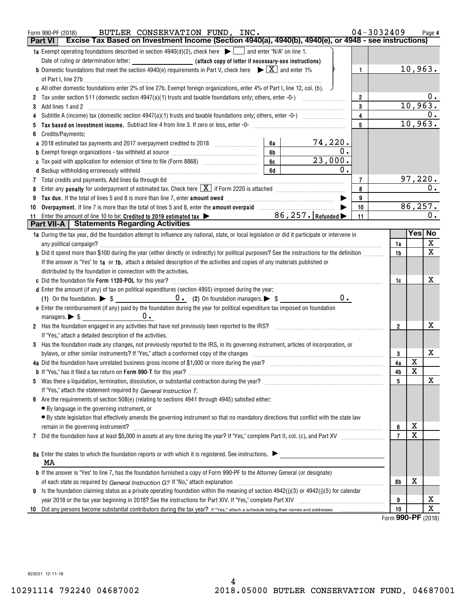|    | BUTLER CONSERVATION FUND, INC.<br>Form 990-PF (2018)                                                                                                                                                                                |                | $04 - 3032409$ |                                |                         | Page 4                       |  |
|----|-------------------------------------------------------------------------------------------------------------------------------------------------------------------------------------------------------------------------------------|----------------|----------------|--------------------------------|-------------------------|------------------------------|--|
|    | Excise Tax Based on Investment Income (Section 4940(a), 4940(b), 4940(e), or 4948 - see instructions)<br><b>Part VI</b>                                                                                                             |                |                |                                |                         |                              |  |
|    | <b>1a</b> Exempt operating foundations described in section $4940(d)(2)$ , check here $\Box$ and enter "N/A" on line 1.                                                                                                             |                |                |                                |                         |                              |  |
|    |                                                                                                                                                                                                                                     |                |                |                                |                         |                              |  |
|    | <b>b</b> Domestic foundations that meet the section 4940(e) requirements in Part V, check here $\blacktriangleright \boxed{X}$ and enter 1%                                                                                         | $\mathbf{1}$   |                |                                | 10,963.                 |                              |  |
|    |                                                                                                                                                                                                                                     |                |                |                                |                         |                              |  |
|    | c All other domestic foundations enter 2% of line 27b. Exempt foreign organizations, enter 4% of Part I, line 12, col. (b).                                                                                                         |                |                |                                |                         |                              |  |
|    |                                                                                                                                                                                                                                     | $\overline{2}$ |                |                                |                         | 0.                           |  |
| 3  | Add lines 1 and 2                                                                                                                                                                                                                   | 3              |                |                                | 10,963.                 |                              |  |
|    |                                                                                                                                                                                                                                     | $\overline{4}$ |                |                                |                         | 0.                           |  |
|    |                                                                                                                                                                                                                                     | 5              |                |                                | 10,963.                 |                              |  |
|    | Credits/Payments:                                                                                                                                                                                                                   |                |                |                                |                         |                              |  |
|    | <u>74,220.</u><br>6a<br>a 2018 estimated tax payments and 2017 overpayment credited to 2018 [11, 12, 13, 13, 13, 13, 13, 13, 13, 13, 1                                                                                              |                |                |                                |                         |                              |  |
|    | $\overline{0}$ .<br>6b<br><b>b</b> Exempt foreign organizations - tax withheld at source <i>manumanal communicanal communicanal</i>                                                                                                 |                |                |                                |                         |                              |  |
|    | 23,000.<br>6c<br>c Tax paid with application for extension of time to file (Form 8868) [100] [100] [12] [2] [2] [2] [2] [2] [2]                                                                                                     |                |                |                                |                         |                              |  |
|    | $\mathbf 0$ .<br>6d                                                                                                                                                                                                                 |                |                |                                |                         |                              |  |
| 7  |                                                                                                                                                                                                                                     | 7              |                |                                | <u>97,220.</u>          |                              |  |
|    |                                                                                                                                                                                                                                     | 8              |                |                                |                         | $\overline{0}$ .             |  |
|    | Tax due. If the total of lines 5 and 8 is more than line 7, enter amount owed <i>[100]</i> [100] [100] [100] [100] [100] [100] [100] [100] [100] [100] [100] [100] [100] [100] [100] [100] [100] [100] [100] [100] [100] [100] [100 | 9              |                |                                |                         |                              |  |
| 10 |                                                                                                                                                                                                                                     | 10             |                |                                | 86, 257.                |                              |  |
| 11 | Enter the amount of line 10 to be: Credited to 2019 estimated tax $\triangleright$ 86, 257. Refunded $\triangleright$                                                                                                               | 11             |                |                                |                         | 0.                           |  |
|    | <b>Part VII-A   Statements Regarding Activities</b>                                                                                                                                                                                 |                |                |                                |                         |                              |  |
|    | 1a During the tax year, did the foundation attempt to influence any national, state, or local legislation or did it participate or intervene in                                                                                     |                |                |                                | Yes No                  |                              |  |
|    | any political campaign?                                                                                                                                                                                                             |                |                | 1a                             |                         | X                            |  |
|    | b Did it spend more than \$100 during the year (either directly or indirectly) for political purposes? See the instructions for the definition                                                                                      |                |                | 1b                             |                         | $\overline{\mathbf{x}}$      |  |
|    | If the answer is "Yes" to 1a or 1b, attach a detailed description of the activities and copies of any materials published or                                                                                                        |                |                |                                |                         |                              |  |
|    | distributed by the foundation in connection with the activities.                                                                                                                                                                    |                |                |                                |                         |                              |  |
|    |                                                                                                                                                                                                                                     |                |                | 1c                             |                         | x                            |  |
|    | d Enter the amount (if any) of tax on political expenditures (section 4955) imposed during the year:                                                                                                                                |                |                |                                |                         |                              |  |
|    | $0$ .                                                                                                                                                                                                                               |                |                |                                |                         |                              |  |
|    | e Enter the reimbursement (if any) paid by the foundation during the year for political expenditure tax imposed on foundation                                                                                                       |                |                |                                |                         |                              |  |
|    | 0.<br>managers. $\triangleright$ \$ $\perp$                                                                                                                                                                                         |                |                |                                |                         |                              |  |
|    | 2 Has the foundation engaged in any activities that have not previously been reported to the IRS?                                                                                                                                   |                |                | $\overline{2}$                 |                         | х                            |  |
|    | If "Yes," attach a detailed description of the activities.                                                                                                                                                                          |                |                |                                |                         |                              |  |
|    | 3 Has the foundation made any changes, not previously reported to the IRS, in its governing instrument, articles of incorporation, or                                                                                               |                |                |                                |                         |                              |  |
|    | bylaws, or other similar instruments? If "Yes," attach a conformed copy of the changes                                                                                                                                              |                |                | 3                              |                         | х                            |  |
|    |                                                                                                                                                                                                                                     |                |                | 4a                             | X                       |                              |  |
|    |                                                                                                                                                                                                                                     |                |                | 4b                             | $\overline{\textbf{x}}$ |                              |  |
|    |                                                                                                                                                                                                                                     |                |                | 5                              |                         | х                            |  |
|    | If "Yes," attach the statement required by General Instruction T.                                                                                                                                                                   |                |                |                                |                         |                              |  |
| 6  | Are the requirements of section 508(e) (relating to sections 4941 through 4945) satisfied either:                                                                                                                                   |                |                |                                |                         |                              |  |
|    | • By language in the governing instrument, or                                                                                                                                                                                       |                |                |                                |                         |                              |  |
|    | • By state legislation that effectively amends the governing instrument so that no mandatory directions that conflict with the state law                                                                                            |                |                |                                |                         |                              |  |
|    | remain in the governing instrument?                                                                                                                                                                                                 |                |                | 6                              | х                       |                              |  |
|    |                                                                                                                                                                                                                                     |                |                | $\overline{7}$                 | $\overline{\mathtt{x}}$ |                              |  |
| 7  |                                                                                                                                                                                                                                     |                |                |                                |                         |                              |  |
|    | 8a Enter the states to which the foundation reports or with which it is registered. See instructions.                                                                                                                               |                |                |                                |                         |                              |  |
|    | MA                                                                                                                                                                                                                                  |                |                |                                |                         |                              |  |
|    |                                                                                                                                                                                                                                     |                |                |                                |                         |                              |  |
|    | <b>b</b> If the answer is "Yes" to line 7, has the foundation furnished a copy of Form 990-PF to the Attorney General (or designate)                                                                                                |                |                |                                |                         |                              |  |
|    |                                                                                                                                                                                                                                     |                |                | 8b                             | х                       |                              |  |
|    | 9 Is the foundation claiming status as a private operating foundation within the meaning of section 4942(j)(3) or 4942(j)(5) for calendar                                                                                           |                |                |                                |                         |                              |  |
|    |                                                                                                                                                                                                                                     |                |                | 9                              |                         | X<br>$\overline{\texttt{x}}$ |  |
| 10 |                                                                                                                                                                                                                                     |                |                | 10<br>$\overline{\phantom{0}}$ |                         |                              |  |

Form (2018) **990-PF**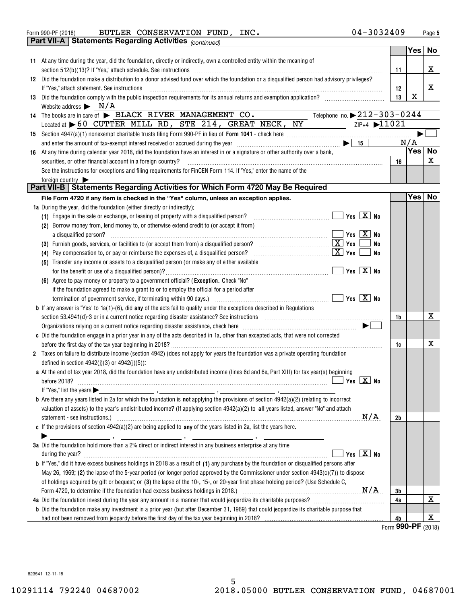| BUTLER CONSERVATION FUND, | Form 990-PF (2018) |  |  |  | INC. | $04 - 3032409$<br>Page |
|---------------------------|--------------------|--|--|--|------|------------------------|
|---------------------------|--------------------|--|--|--|------|------------------------|

|    |                 | <b>Part VII-A   Statements Regarding Activities (continued)</b>                                                                                                                                                                                                                                                                                                              |                |                  |    |
|----|-----------------|------------------------------------------------------------------------------------------------------------------------------------------------------------------------------------------------------------------------------------------------------------------------------------------------------------------------------------------------------------------------------|----------------|------------------|----|
|    |                 |                                                                                                                                                                                                                                                                                                                                                                              |                | Yes <sub>1</sub> | No |
|    |                 | 11 At any time during the year, did the foundation, directly or indirectly, own a controlled entity within the meaning of                                                                                                                                                                                                                                                    |                |                  |    |
|    |                 |                                                                                                                                                                                                                                                                                                                                                                              | 11             |                  | X  |
|    |                 | 12 Did the foundation make a distribution to a donor advised fund over which the foundation or a disqualified person had advisory privileges?                                                                                                                                                                                                                                |                |                  |    |
|    |                 | If "Yes," attach statement. See instructions                                                                                                                                                                                                                                                                                                                                 | 12             |                  | X  |
|    |                 | 13 Did the foundation comply with the public inspection requirements for its annual returns and exemption application?                                                                                                                                                                                                                                                       | 13             | $\mathbf X$      |    |
|    |                 | Website address $\triangleright$ N/A                                                                                                                                                                                                                                                                                                                                         |                |                  |    |
|    |                 | Telephone no. $\triangleright$ 212-303-0244<br>14 The books are in care of BLACK RIVER MANAGEMENT CO.                                                                                                                                                                                                                                                                        |                |                  |    |
|    |                 | $\frac{1}{2}$ $\frac{1}{2}$ $\frac{1}{2}$ $\frac{1}{2}$ $\frac{1}{2}$ $\frac{1}{2}$ $\frac{1}{2}$ $\frac{1}{2}$ $\frac{1}{2}$ $\frac{1}{2}$ $\frac{1}{2}$ $\frac{1}{2}$ $\frac{1}{2}$ $\frac{1}{2}$ $\frac{1}{2}$ $\frac{1}{2}$ $\frac{1}{2}$ $\frac{1}{2}$ $\frac{1}{2}$ $\frac{1}{2}$ $\frac{1}{2}$ $\frac{1}{2}$<br>Located at 60 CUTTER MILL RD, STE 214, GREAT NECK, NY |                |                  |    |
|    |                 |                                                                                                                                                                                                                                                                                                                                                                              |                |                  |    |
|    |                 |                                                                                                                                                                                                                                                                                                                                                                              |                | N/A              |    |
|    |                 |                                                                                                                                                                                                                                                                                                                                                                              |                | Yes No           |    |
| 16 |                 | At any time during calendar year 2018, did the foundation have an interest in or a signature or other authority over a bank,                                                                                                                                                                                                                                                 | 16             |                  | X  |
|    |                 | securities, or other financial account in a foreign country?                                                                                                                                                                                                                                                                                                                 |                |                  |    |
|    |                 | See the instructions for exceptions and filing requirements for FinCEN Form 114. If "Yes," enter the name of the                                                                                                                                                                                                                                                             |                |                  |    |
|    | foreign country | Part VII-B   Statements Regarding Activities for Which Form 4720 May Be Required                                                                                                                                                                                                                                                                                             |                |                  |    |
|    |                 | File Form 4720 if any item is checked in the "Yes" column, unless an exception applies.                                                                                                                                                                                                                                                                                      |                | Yes No           |    |
|    |                 | 1a During the year, did the foundation (either directly or indirectly):                                                                                                                                                                                                                                                                                                      |                |                  |    |
|    |                 | (1) Engage in the sale or exchange, or leasing of property with a disqualified person?                                                                                                                                                                                                                                                                                       |                |                  |    |
|    |                 | (2) Borrow money from, lend money to, or otherwise extend credit to (or accept it from)                                                                                                                                                                                                                                                                                      |                |                  |    |
|    |                 | $\begin{array}{c c c c c} \hline \text{Yes} & \textbf{X} & \textbf{No} \end{array}$<br>a disqualified person?                                                                                                                                                                                                                                                                |                |                  |    |
|    |                 | (3) Furnish goods, services, or facilities to (or accept them from) a disqualified person? $\ldots$ $\ldots$ $\ldots$ $\ldots$ $\ldots$ $\boxed{\mathbf{X}}$ Yes<br><b>No</b>                                                                                                                                                                                                |                |                  |    |
|    |                 | $\boxed{\mathbf{X}}$ Yes<br><b>No</b><br>(4) Pay compensation to, or pay or reimburse the expenses of, a disqualified person?                                                                                                                                                                                                                                                |                |                  |    |
|    |                 | (5) Transfer any income or assets to a disqualified person (or make any of either available                                                                                                                                                                                                                                                                                  |                |                  |    |
|    |                 | $\sqrt{}$ Yes $\boxed{\text{X}}$ No                                                                                                                                                                                                                                                                                                                                          |                |                  |    |
|    |                 | (6) Agree to pay money or property to a government official? (Exception. Check "No"                                                                                                                                                                                                                                                                                          |                |                  |    |
|    |                 | if the foundation agreed to make a grant to or to employ the official for a period after                                                                                                                                                                                                                                                                                     |                |                  |    |
|    |                 |                                                                                                                                                                                                                                                                                                                                                                              |                |                  |    |
|    |                 | <b>b</b> If any answer is "Yes" to $1a(1)-(6)$ , did any of the acts fail to qualify under the exceptions described in Regulations                                                                                                                                                                                                                                           |                |                  |    |
|    |                 |                                                                                                                                                                                                                                                                                                                                                                              | 1b             |                  | X  |
|    |                 | Organizations relying on a current notice regarding disaster assistance, check here [11,111] contains the content of the content of the content of the content of the content of the content of the content of the content of                                                                                                                                                |                |                  |    |
|    |                 | c Did the foundation engage in a prior year in any of the acts described in 1a, other than excepted acts, that were not corrected                                                                                                                                                                                                                                            |                |                  |    |
|    |                 |                                                                                                                                                                                                                                                                                                                                                                              | 1c             |                  | X  |
|    |                 | 2 Taxes on failure to distribute income (section 4942) (does not apply for years the foundation was a private operating foundation                                                                                                                                                                                                                                           |                |                  |    |
|    |                 | defined in section $4942(j)(3)$ or $4942(j)(5)$ :                                                                                                                                                                                                                                                                                                                            |                |                  |    |
|    |                 | a At the end of tax year 2018, did the foundation have any undistributed income (lines 6d and 6e, Part XIII) for tax year(s) beginning                                                                                                                                                                                                                                       |                |                  |    |
|    |                 |                                                                                                                                                                                                                                                                                                                                                                              |                |                  |    |
|    |                 | If "Yes," list the years $\blacktriangleright$                                                                                                                                                                                                                                                                                                                               |                |                  |    |
|    |                 | <b>b</b> Are there any years listed in 2a for which the foundation is <b>not</b> applying the provisions of section $4942(a)(2)$ (relating to incorrect                                                                                                                                                                                                                      |                |                  |    |
|    |                 | valuation of assets) to the year's undistributed income? (If applying section 4942(a)(2) to all years listed, answer "No" and attach                                                                                                                                                                                                                                         |                |                  |    |
|    |                 | N/A                                                                                                                                                                                                                                                                                                                                                                          | 2 <sub>b</sub> |                  |    |
|    |                 | c If the provisions of section $4942(a)(2)$ are being applied to any of the years listed in 2a, list the years here.                                                                                                                                                                                                                                                         |                |                  |    |
|    |                 |                                                                                                                                                                                                                                                                                                                                                                              |                |                  |    |
|    |                 | 3a Did the foundation hold more than a 2% direct or indirect interest in any business enterprise at any time                                                                                                                                                                                                                                                                 |                |                  |    |
|    |                 | Yes $X$ No                                                                                                                                                                                                                                                                                                                                                                   |                |                  |    |
|    |                 | <b>b</b> If "Yes," did it have excess business holdings in 2018 as a result of (1) any purchase by the foundation or disqualified persons after                                                                                                                                                                                                                              |                |                  |    |
|    |                 | May 26, 1969; (2) the lapse of the 5-year period (or longer period approved by the Commissioner under section 4943(c)(7)) to dispose                                                                                                                                                                                                                                         |                |                  |    |
|    |                 | of holdings acquired by gift or bequest; or (3) the lapse of the 10-, 15-, or 20-year first phase holding period? (Use Schedule C,                                                                                                                                                                                                                                           |                |                  |    |
|    |                 |                                                                                                                                                                                                                                                                                                                                                                              | 3b             |                  |    |
|    |                 |                                                                                                                                                                                                                                                                                                                                                                              | 4a             |                  | x  |
|    |                 | <b>b</b> Did the foundation make any investment in a prior year (but after December 31, 1969) that could jeopardize its charitable purpose that                                                                                                                                                                                                                              |                |                  |    |
|    |                 |                                                                                                                                                                                                                                                                                                                                                                              | 4b             |                  | х  |
|    |                 |                                                                                                                                                                                                                                                                                                                                                                              |                |                  |    |

Form **990-PF** (2018)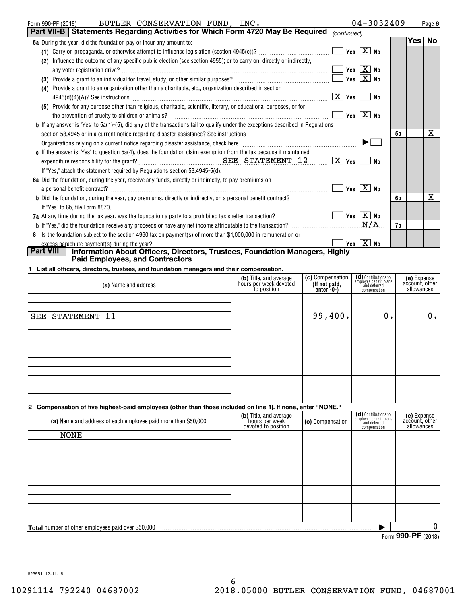| $04 - 3032409$<br>BUTLER CONSERVATION FUND, INC.<br>Form 990-PF (2018)                                                                                                                                                         |    |            | Page 6    |
|--------------------------------------------------------------------------------------------------------------------------------------------------------------------------------------------------------------------------------|----|------------|-----------|
| <b>Part VII-B   Statements Regarding Activities for Which Form 4720 May Be Required</b><br>(continued)                                                                                                                         |    |            |           |
| 5a During the year, did the foundation pay or incur any amount to:                                                                                                                                                             |    | <b>Yes</b> | <b>No</b> |
| Yes $X$ No                                                                                                                                                                                                                     |    |            |           |
| Influence the outcome of any specific public election (see section 4955); or to carry on, directly or indirectly,<br>(2)                                                                                                       |    |            |           |
| Yes $X$ No                                                                                                                                                                                                                     |    |            |           |
| Yes $X$ No                                                                                                                                                                                                                     |    |            |           |
| Provide a grant to an organization other than a charitable, etc., organization described in section<br>(4)                                                                                                                     |    |            |           |
| $ X $ Yes $ $ No                                                                                                                                                                                                               |    |            |           |
| (5) Provide for any purpose other than religious, charitable, scientific, literary, or educational purposes, or for                                                                                                            |    |            |           |
| Yes $X$ No                                                                                                                                                                                                                     |    |            |           |
| <b>b</b> If any answer is "Yes" to $5a(1)$ -(5), did any of the transactions fail to qualify under the exceptions described in Regulations                                                                                     |    |            |           |
| section 53.4945 or in a current notice regarding disaster assistance? See instructions [11] married that contain the content of the content of the set of the content of the content of the set of the content of the set of t | 5b |            | x         |
| Organizations relying on a current notice regarding disaster assistance, check here [11,111] contains the context of the context of the context of the context of the context of the context of the context of the context of  |    |            |           |
| c If the answer is "Yes" to question $5a(4)$ , does the foundation claim exemption from the tax because it maintained                                                                                                          |    |            |           |
| $\boxed{\text{X}}$ Yes<br><b>No</b>                                                                                                                                                                                            |    |            |           |
| If "Yes," attach the statement required by Regulations section 53.4945-5(d).                                                                                                                                                   |    |            |           |
| 6a Did the foundation, during the year, receive any funds, directly or indirectly, to pay premiums on                                                                                                                          |    |            |           |
| $Yes \ \boxed{X}$ No                                                                                                                                                                                                           |    |            |           |
|                                                                                                                                                                                                                                | 6b |            | x         |
| If "Yes" to 6b, file Form 8870.                                                                                                                                                                                                |    |            |           |
| 7a At any time during the tax year, was the foundation a party to a prohibited tax shelter transaction? $\ldots$ $\ldots$ $\ldots$                                                                                             |    |            |           |
|                                                                                                                                                                                                                                | 7b |            |           |
| 8 Is the foundation subject to the section 4960 tax on payment(s) of more than \$1,000,000 in remuneration or                                                                                                                  |    |            |           |
| Yes $X$ No                                                                                                                                                                                                                     |    |            |           |
| Part VIII<br>Information About Officers, Directors, Trustees, Foundation Managers, Highly<br><b>Paid Employees, and Contractors</b>                                                                                            |    |            |           |
| 1 List all officers, directors, trustees, and foundation managers and their compensation.                                                                                                                                      |    |            |           |

| (a) Name and address                                                                                          | (b) Title, and average<br>hours per week devoted<br>to position | (c) Compensation<br>(If not paid,<br>$enter -0-)$ | (d) Contributions to<br>employee benefit plans<br>and deferred<br>compensation | (e) Expense<br>account, other<br>allowances |
|---------------------------------------------------------------------------------------------------------------|-----------------------------------------------------------------|---------------------------------------------------|--------------------------------------------------------------------------------|---------------------------------------------|
|                                                                                                               |                                                                 |                                                   |                                                                                |                                             |
| SEE STATEMENT 11                                                                                              |                                                                 | 99,400.                                           | 0.                                                                             | $0$ .                                       |
|                                                                                                               |                                                                 |                                                   |                                                                                |                                             |
|                                                                                                               |                                                                 |                                                   |                                                                                |                                             |
|                                                                                                               |                                                                 |                                                   |                                                                                |                                             |
|                                                                                                               |                                                                 |                                                   |                                                                                |                                             |
| 0. Componentian of five birkeet noid employees (athen than these included an line 4). If none, anter INONE II |                                                                 |                                                   |                                                                                |                                             |

## **2 Compensation of five highest-paid employees (other than those included on line 1). If none, enter "NONE."**

| (a) Name and address of each employee paid more than \$50,000 | (b) Title, and average<br>hours per week<br>devoted to position | (c) Compensation | (d) Contributions to<br>employee benefit plans<br>and deferred<br>compensation | (e) Expense<br>account, other<br>allowances |
|---------------------------------------------------------------|-----------------------------------------------------------------|------------------|--------------------------------------------------------------------------------|---------------------------------------------|
| <b>NONE</b>                                                   |                                                                 |                  |                                                                                |                                             |
|                                                               |                                                                 |                  |                                                                                |                                             |
|                                                               |                                                                 |                  |                                                                                |                                             |
|                                                               |                                                                 |                  |                                                                                |                                             |
|                                                               |                                                                 |                  |                                                                                |                                             |
|                                                               |                                                                 |                  |                                                                                |                                             |
|                                                               |                                                                 |                  |                                                                                |                                             |
|                                                               |                                                                 |                  |                                                                                |                                             |
|                                                               |                                                                 |                  |                                                                                |                                             |
|                                                               |                                                                 |                  |                                                                                |                                             |
| <b>Total</b> number of other employees paid over \$50,000     |                                                                 |                  |                                                                                | 0                                           |
|                                                               |                                                                 |                  | $\sim$                                                                         | $000 \text{ DE}$                            |

Form (2018) **990-PF**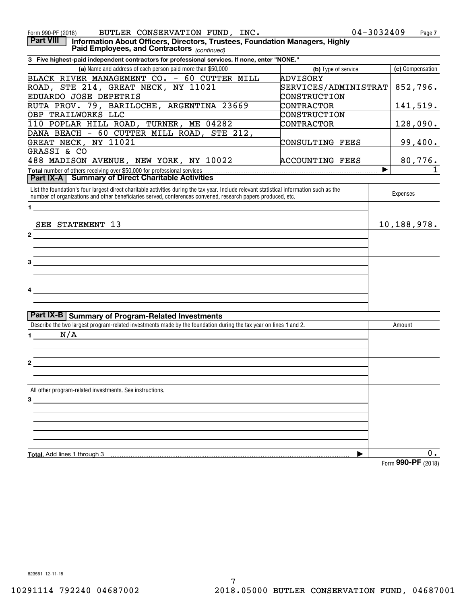| BUTLER CONSERVATION FUND, INC.<br>Form 990-PF (2018)                                                                                                                         | $04 - 3032409$         | Page 7           |
|------------------------------------------------------------------------------------------------------------------------------------------------------------------------------|------------------------|------------------|
| <b>Part VIII</b><br>Information About Officers, Directors, Trustees, Foundation Managers, Highly<br>Paid Employees, and Contractors (continued)                              |                        |                  |
| 3 Five highest-paid independent contractors for professional services. If none, enter "NONE."                                                                                |                        |                  |
| (a) Name and address of each person paid more than \$50,000                                                                                                                  | (b) Type of service    | (c) Compensation |
| BLACK RIVER MANAGEMENT CO. - 60 CUTTER MILL                                                                                                                                  | ADVISORY               |                  |
| ROAD, STE 214, GREAT NECK, NY 11021                                                                                                                                          | SERVICES/ADMINISTRAT   | 852,796.         |
| EDUARDO JOSE DEPETRIS                                                                                                                                                        | CONSTRUCTION           |                  |
| RUTA PROV. 79, BARILOCHE, ARGENTINA 23669                                                                                                                                    | CONTRACTOR             | 141,519.         |
| OBP TRAILWORKS LLC                                                                                                                                                           | CONSTRUCTION           |                  |
| 110 POPLAR HILL ROAD, TURNER, ME 04282                                                                                                                                       | CONTRACTOR             | 128,090.         |
| DANA BEACH - 60 CUTTER MILL ROAD, STE 212,                                                                                                                                   |                        |                  |
| GREAT NECK, NY 11021                                                                                                                                                         | CONSULTING FEES        | 99,400.          |
| GRASSI & CO                                                                                                                                                                  |                        |                  |
| 488 MADISON AVENUE, NEW YORK, NY 10022                                                                                                                                       | <b>ACCOUNTING FEES</b> | 80,776.          |
| <b>Part IX-A   Summary of Direct Charitable Activities</b>                                                                                                                   | ▶                      | $\overline{1}$   |
| List the foundation's four largest direct charitable activities during the tax year. Include relevant statistical information such as the                                    |                        |                  |
| number of organizations and other beneficiaries served, conferences convened, research papers produced, etc.                                                                 |                        | Expenses         |
| $1 \quad$                                                                                                                                                                    |                        |                  |
| SEE STATEMENT 13                                                                                                                                                             |                        | 10,188,978.      |
| $\mathbf{2}$                                                                                                                                                                 |                        |                  |
|                                                                                                                                                                              |                        |                  |
|                                                                                                                                                                              |                        |                  |
| 3                                                                                                                                                                            |                        |                  |
|                                                                                                                                                                              |                        |                  |
|                                                                                                                                                                              |                        |                  |
|                                                                                                                                                                              |                        |                  |
|                                                                                                                                                                              |                        |                  |
|                                                                                                                                                                              |                        |                  |
| <b>Part IX-B Summary of Program-Related Investments</b><br>Describe the two largest program-related investments made by the foundation during the tax year on lines 1 and 2. |                        | Amount           |
| N/A                                                                                                                                                                          |                        |                  |
| $\mathbf 1$                                                                                                                                                                  |                        |                  |
|                                                                                                                                                                              |                        |                  |
| $\mathbf{2}$                                                                                                                                                                 |                        |                  |
|                                                                                                                                                                              |                        |                  |
| All other program-related investments. See instructions.                                                                                                                     |                        |                  |
| 3                                                                                                                                                                            |                        |                  |
|                                                                                                                                                                              |                        |                  |
|                                                                                                                                                                              |                        |                  |
|                                                                                                                                                                              |                        |                  |
|                                                                                                                                                                              |                        |                  |
|                                                                                                                                                                              |                        |                  |
| Total. Add lines 1 through 3                                                                                                                                                 | ▶                      | $0$ .            |
|                                                                                                                                                                              |                        |                  |

Form (2018) **990-PF**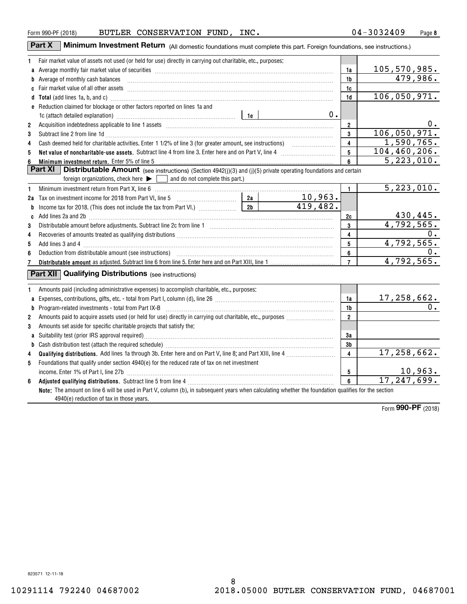| . . |  |
|-----|--|
|     |  |
|     |  |
|     |  |
|     |  |
|     |  |
|     |  |
|     |  |
|     |  |
|     |  |
|     |  |

| Form 990-PF (2018) | BUTLER | <b>CONSERVATION</b> | FUND | INC. | $3240^\circ$<br>301 | Page |
|--------------------|--------|---------------------|------|------|---------------------|------|
|                    |        |                     |      |      |                     |      |

| Part X<br><b>A Minimum Investment Return</b> (All domestic foundations must complete this part. Foreign foundations, see instructions.) |    |              |  |  |  |  |
|-----------------------------------------------------------------------------------------------------------------------------------------|----|--------------|--|--|--|--|
| Fair market value of assets not used (or held for use) directly in carrying out charitable, etc., purposes:                             |    |              |  |  |  |  |
| <b>a</b> Average monthly fair market value of securities                                                                                | 1a | 105,570,985. |  |  |  |  |
| <b>b</b> Average of monthly cash balances                                                                                               | 1b | 479.986.     |  |  |  |  |
| <b>c</b> Fair market value of all other assets                                                                                          | 1c |              |  |  |  |  |

|                | d Total (add lines 1a, b, and c) manufactured and control of the control of the control of the control of the control of the control of the control of the control of the control of the control of the control of the control         | 1d                      | 106,050,971.                  |
|----------------|----------------------------------------------------------------------------------------------------------------------------------------------------------------------------------------------------------------------------------------|-------------------------|-------------------------------|
|                | e Reduction claimed for blockage or other factors reported on lines 1a and                                                                                                                                                             |                         |                               |
|                | $0$ .<br>1c (attach detailed explanation) manufacture and according to the last of the last of the last of the last of the last of the last of the last of the last of the last of the last of the last of the last of the last of the |                         |                               |
| $\overline{2}$ | Acquisition indebtedness applicable to line 1 assets [11] match match match match of the state of the state of the state of the state of the state of the state of the state of the state of the state of the state of the sta         | $\mathbf{2}$            | 0.                            |
| 3              | Subtract line 2 from line 1d <b>Machinese and Contract Contract and Contract Line 2</b> from line 1d                                                                                                                                   | $\mathbf{3}$            | 106,050,971.                  |
| 4              |                                                                                                                                                                                                                                        | $\overline{4}$          | 1,590,765.                    |
| 5              | Net value of noncharitable-use assets. Subtract line 4 from line 3. Enter here and on Part V, line 4 [11, 11]                                                                                                                          | 5                       | 104, 460, 206.                |
|                | Minimum investment return. Enter 5% of line 5                                                                                                                                                                                          | 6                       | 5, 223, 010.                  |
|                | <b>Part XI</b>   Distributable Amount (see instructions) (Section 4942(j)(3) and (j)(5) private operating foundations and certain                                                                                                      |                         |                               |
|                | foreign organizations, check here $\blacktriangleright \lceil \cdot \rceil$ and do not complete this part.)                                                                                                                            |                         |                               |
| 1              |                                                                                                                                                                                                                                        | $\mathbf{1}$            | 5,223,010.                    |
|                |                                                                                                                                                                                                                                        |                         |                               |
|                |                                                                                                                                                                                                                                        |                         |                               |
| C              |                                                                                                                                                                                                                                        | 2c                      |                               |
| 3              |                                                                                                                                                                                                                                        | $\mathbf{3}$            | 430,445.<br>4,792,565.        |
| 4              |                                                                                                                                                                                                                                        | $\overline{4}$          | 0.                            |
| 5              |                                                                                                                                                                                                                                        | 5                       | 4,792,565.                    |
| 6              |                                                                                                                                                                                                                                        | 6                       |                               |
|                |                                                                                                                                                                                                                                        | $\overline{7}$          | 4,792,565.                    |
|                | <b>Part XII Qualifying Distributions</b> (see instructions)                                                                                                                                                                            |                         |                               |
|                |                                                                                                                                                                                                                                        |                         |                               |
|                | Amounts paid (including administrative expenses) to accomplish charitable, etc., purposes:                                                                                                                                             |                         |                               |
| a              |                                                                                                                                                                                                                                        | 1a                      | 17,258,662.                   |
| b              | Program-related investments - total from Part IX-B                                                                                                                                                                                     | 1 <sub>b</sub>          | 0.                            |
| 2              |                                                                                                                                                                                                                                        | $\overline{\mathbf{2}}$ |                               |
| 3              | Amounts set aside for specific charitable projects that satisfy the:                                                                                                                                                                   |                         |                               |
| a              | Suitability test (prior IRS approval required)                                                                                                                                                                                         | 3a                      |                               |
| b              |                                                                                                                                                                                                                                        | 3 <sub>b</sub>          |                               |
| 4              |                                                                                                                                                                                                                                        | $\overline{4}$          | 17,258,662.                   |
| 5              | Foundations that qualify under section 4940(e) for the reduced rate of tax on net investment                                                                                                                                           |                         |                               |
|                | income. Enter 1% of Part I, line 27b                                                                                                                                                                                                   | 5                       | $\frac{10,963.}{17,247,699.}$ |
| 6              |                                                                                                                                                                                                                                        | 6 <sup>1</sup>          |                               |
|                | Note: The amount on line 6 will be used in Part V, column (b), in subsequent years when calculating whether the foundation qualifies for the section                                                                                   |                         |                               |
|                | 4940(e) reduction of tax in those years.                                                                                                                                                                                               |                         |                               |

Form (2018) **990-PF**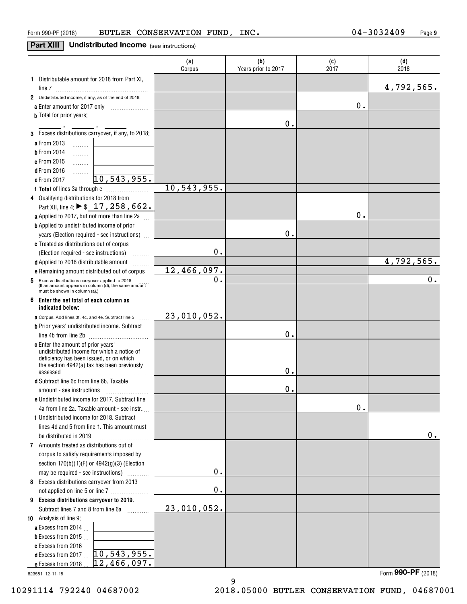# **Part XIII** Undistributed Income (see instructions)

|                                                                                                                                              | (a)<br>Corpus | (b)<br>Years prior to 2017 | (c)<br>2017 | (d)<br>2018      |
|----------------------------------------------------------------------------------------------------------------------------------------------|---------------|----------------------------|-------------|------------------|
| 1 Distributable amount for 2018 from Part XI,                                                                                                |               |                            |             | 4,792,565.       |
| 2 Undistributed income, if any, as of the end of 2018:                                                                                       |               |                            |             |                  |
|                                                                                                                                              |               |                            | 0.          |                  |
| a Enter amount for 2017 only                                                                                                                 |               |                            |             |                  |
| <b>b</b> Total for prior years:                                                                                                              |               | 0.                         |             |                  |
| 3 Excess distributions carryover, if any, to 2018:                                                                                           |               |                            |             |                  |
| a From 2013                                                                                                                                  |               |                            |             |                  |
| $\ldots \ldots \ldots$<br><b>b</b> From 2014                                                                                                 |               |                            |             |                  |
| .<br>c From 2015                                                                                                                             |               |                            |             |                  |
| .<br><b>d</b> From 2016                                                                                                                      |               |                            |             |                  |
| .<br>10, 543, 955.<br>e From 2017                                                                                                            |               |                            |             |                  |
|                                                                                                                                              | 10,543,955.   |                            |             |                  |
| 4 Qualifying distributions for 2018 from                                                                                                     |               |                            |             |                  |
| Part XII, line 4: ▶ \$ 17, 258, 662.                                                                                                         |               |                            |             |                  |
| a Applied to 2017, but not more than line 2a                                                                                                 |               |                            | 0.          |                  |
| <b>b</b> Applied to undistributed income of prior                                                                                            |               |                            |             |                  |
|                                                                                                                                              |               | 0.                         |             |                  |
| years (Election required - see instructions)<br>c Treated as distributions out of corpus                                                     |               |                            |             |                  |
|                                                                                                                                              | 0.            |                            |             |                  |
| (Election required - see instructions)<br>.                                                                                                  |               |                            |             | 4,792,565.       |
| d Applied to 2018 distributable amount<br>.                                                                                                  | 12,466,097.   |                            |             |                  |
| e Remaining amount distributed out of corpus                                                                                                 | $\mathbf 0$ . |                            |             | $\overline{0}$ . |
| Excess distributions carryover applied to 2018<br>5<br>(If an amount appears in column (d), the same amount<br>must be shown in column (a).) |               |                            |             |                  |
| 6<br>Enter the net total of each column as<br>indicated below:                                                                               |               |                            |             |                  |
| <b>a</b> Corpus. Add lines 3f, 4c, and 4e. Subtract line 5                                                                                   | 23,010,052.   |                            |             |                  |
| <b>b</b> Prior years' undistributed income. Subtract                                                                                         |               |                            |             |                  |
|                                                                                                                                              |               | Ο.                         |             |                  |
| c Enter the amount of prior years'                                                                                                           |               |                            |             |                  |
| undistributed income for which a notice of<br>deficiency has been issued, or on which                                                        |               |                            |             |                  |
| the section 4942(a) tax has been previously                                                                                                  |               |                            |             |                  |
| assessed                                                                                                                                     |               | Ο.                         |             |                  |
| d Subtract line 6c from line 6b. Taxable                                                                                                     |               |                            |             |                  |
|                                                                                                                                              |               | 0.                         |             |                  |
| e Undistributed income for 2017. Subtract line                                                                                               |               |                            |             |                  |
| 4a from line 2a. Taxable amount - see instr.                                                                                                 |               |                            | 0.          |                  |
| f Undistributed income for 2018. Subtract                                                                                                    |               |                            |             |                  |
| lines 4d and 5 from line 1. This amount must                                                                                                 |               |                            |             |                  |
|                                                                                                                                              |               |                            |             | 0.               |
| 7 Amounts treated as distributions out of                                                                                                    |               |                            |             |                  |
| corpus to satisfy requirements imposed by                                                                                                    |               |                            |             |                  |
| section $170(b)(1)(F)$ or $4942(g)(3)$ (Election                                                                                             |               |                            |             |                  |
| may be required - see instructions)                                                                                                          | 0.            |                            |             |                  |
| 8 Excess distributions carryover from 2013                                                                                                   |               |                            |             |                  |
|                                                                                                                                              | 0.            |                            |             |                  |
| 9 Excess distributions carryover to 2019.                                                                                                    |               |                            |             |                  |
| Subtract lines 7 and 8 from line 6a<br>.                                                                                                     | 23,010,052.   |                            |             |                  |
| 10 Analysis of line 9:                                                                                                                       |               |                            |             |                  |
| a Excess from 2014                                                                                                                           |               |                            |             |                  |
| <b>b</b> Excess from 2015 $\ldots$                                                                                                           |               |                            |             |                  |
| c Excess from 2016 $\ldots$                                                                                                                  |               |                            |             |                  |
| 10, 543, 955.<br><b>d</b> Excess from 2017                                                                                                   |               |                            |             |                  |
| 12,466,097.<br>e Excess from 2018.                                                                                                           |               |                            |             |                  |

9

823581 12-11-18

Form (2018) **990-PF**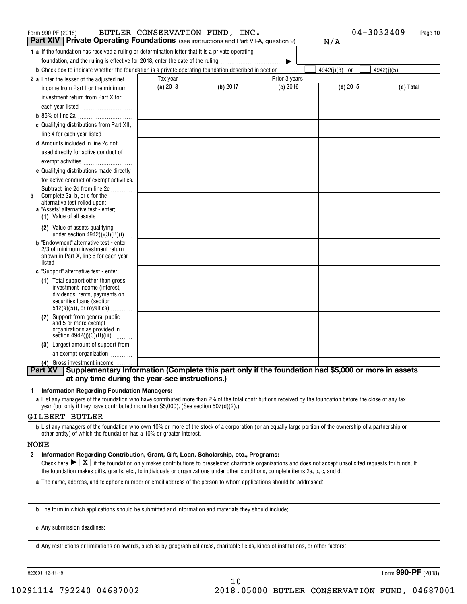| Form 990-PF (2018)                                                                                                   | BUTLER CONSERVATION FUND, INC. |          |               | 04-3032409    | Page 10    |
|----------------------------------------------------------------------------------------------------------------------|--------------------------------|----------|---------------|---------------|------------|
| <b>Part XIV</b> Private Operating Foundations (see instructions and Part VII-A, question 9)                          |                                |          |               | N/A           |            |
| 1 a If the foundation has received a ruling or determination letter that it is a private operating                   |                                |          |               |               |            |
| foundation, and the ruling is effective for 2018, enter the date of the ruling                                       |                                |          | ▶             |               |            |
| <b>b</b> Check box to indicate whether the foundation is a private operating foundation described in section         |                                |          | .             | 4942(j)(3) or | 4942(j)(5) |
| 2 a Enter the lesser of the adjusted net                                                                             | Tax year                       |          | Prior 3 years |               |            |
| income from Part I or the minimum                                                                                    | (a) 2018                       | (b) 2017 | $(c)$ 2016    | $(d)$ 2015    | (e) Total  |
| investment return from Part X for                                                                                    |                                |          |               |               |            |
|                                                                                                                      |                                |          |               |               |            |
|                                                                                                                      |                                |          |               |               |            |
| c Qualifying distributions from Part XII,                                                                            |                                |          |               |               |            |
| line 4 for each year listed                                                                                          |                                |          |               |               |            |
| <b>d</b> Amounts included in line 2c not                                                                             |                                |          |               |               |            |
| used directly for active conduct of                                                                                  |                                |          |               |               |            |
| exempt activities                                                                                                    |                                |          |               |               |            |
| e Qualifying distributions made directly                                                                             |                                |          |               |               |            |
| for active conduct of exempt activities.                                                                             |                                |          |               |               |            |
| Subtract line 2d from line 2c                                                                                        |                                |          |               |               |            |
| Complete 3a, b, or c for the<br>3<br>alternative test relied upon:                                                   |                                |          |               |               |            |
| <b>a</b> "Assets" alternative test - enter:                                                                          |                                |          |               |               |            |
| (1) Value of all assets $\ldots$                                                                                     |                                |          |               |               |            |
| (2) Value of assets qualifying                                                                                       |                                |          |               |               |            |
| under section $4942(j)(3)(B)(i)$<br><b>b</b> "Endowment" alternative test - enter                                    |                                |          |               |               |            |
| 2/3 of minimum investment return                                                                                     |                                |          |               |               |            |
| shown in Part X, line 6 for each year                                                                                |                                |          |               |               |            |
| listed                                                                                                               |                                |          |               |               |            |
| c "Support" alternative test - enter:                                                                                |                                |          |               |               |            |
| (1) Total support other than gross<br>investment income (interest,                                                   |                                |          |               |               |            |
| dividends, rents, payments on                                                                                        |                                |          |               |               |            |
| securities loans (section                                                                                            |                                |          |               |               |            |
| $512(a)(5)$ , or royalties)<br>(2) Support from general public                                                       |                                |          |               |               |            |
| and 5 or more exempt                                                                                                 |                                |          |               |               |            |
| organizations as provided in                                                                                         |                                |          |               |               |            |
| section $4942(j)(3)(B)(iii)$<br>.<br>(3) Largest amount of support from                                              |                                |          |               |               |            |
| an exempt organization                                                                                               |                                |          |               |               |            |
| (4) Gross investment income                                                                                          |                                |          |               |               |            |
| Supplementary Information (Complete this part only if the foundation had \$5,000 or more in assets<br><b>Part XV</b> |                                |          |               |               |            |
| at any time during the year-see instructions.)                                                                       |                                |          |               |               |            |

### **1Information Regarding Foundation Managers:**

**a**List any managers of the foundation who have contributed more than 2% of the total contributions received by the foundation before the close of any tax year (but only if they have contributed more than \$5,000). (See section 507(d)(2).)

### GILBERT BUTLER

**b**List any managers of the foundation who own 10% or more of the stock of a corporation (or an equally large portion of the ownership of a partnership or other entity) of which the foundation has a 10% or greater interest.

### NONE

### **2Information Regarding Contribution, Grant, Gift, Loan, Scholarship, etc., Programs:**

Check here  $\blacktriangleright\boxed{\textbf{X}}$  if the foundation only makes contributions to preselected charitable organizations and does not accept unsolicited requests for funds. If the foundation makes gifts, grants, etc., to individuals or organizations under other conditions, complete items 2a, b, c, and d.

10

**a**The name, address, and telephone number or email address of the person to whom applications should be addressed:

**b**The form in which applications should be submitted and information and materials they should include:

**c**Any submission deadlines:

**d** Any restrictions or limitations on awards, such as by geographical areas, charitable fields, kinds of institutions, or other factors: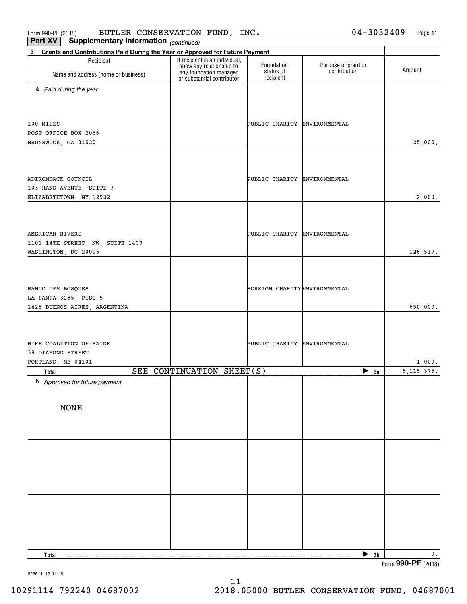Form 990-PF (2018) BUTLER CONSERVATION FUND, INC.  $04-3032409$  Page **Part XV Supplementary Information** BUTLER CONSERVATION FUND, INC. 04-3032409

**11**

| Part VV<br>Supplementary information (continued)                                                         |                                                                                  |                                      |                                     |                    |
|----------------------------------------------------------------------------------------------------------|----------------------------------------------------------------------------------|--------------------------------------|-------------------------------------|--------------------|
| Grants and Contributions Paid During the Year or Approved for Future Payment<br>$3^{\circ}$<br>Recipient | If recipient is an individual,                                                   |                                      |                                     |                    |
| Name and address (home or business)                                                                      | show any relationship to<br>any foundation manager<br>or substantial contributor | Foundation<br>status of<br>recipient | Purpose of grant or<br>contribution | Amount             |
| a Paid during the year                                                                                   |                                                                                  |                                      |                                     |                    |
|                                                                                                          |                                                                                  |                                      |                                     |                    |
| 100 MILES                                                                                                |                                                                                  | PUBLIC CHARITY ENVIRONMENTAL         |                                     |                    |
| POST OFFICE BOX 2056                                                                                     |                                                                                  |                                      |                                     |                    |
| BRUNSWICK, GA 31520                                                                                      |                                                                                  |                                      |                                     | 25,000.            |
|                                                                                                          |                                                                                  |                                      |                                     |                    |
|                                                                                                          |                                                                                  |                                      |                                     |                    |
| ADIRONDACK COUNCIL                                                                                       |                                                                                  | PUBLIC CHARITY ENVIRONMENTAL         |                                     |                    |
| 103 HAND AVENUE, SUITE 3                                                                                 |                                                                                  |                                      |                                     |                    |
| ELIZABETHTOWN, NY 12932                                                                                  |                                                                                  |                                      |                                     | 2,000.             |
|                                                                                                          |                                                                                  |                                      |                                     |                    |
|                                                                                                          |                                                                                  |                                      |                                     |                    |
| AMERICAN RIVERS<br>1101 14TH STREET, NW, SUITE 1400                                                      |                                                                                  | PUBLIC CHARITY ENVIRONMENTAL         |                                     |                    |
| WASHINGTON, DC 20005                                                                                     |                                                                                  |                                      |                                     | 126,517.           |
|                                                                                                          |                                                                                  |                                      |                                     |                    |
|                                                                                                          |                                                                                  |                                      |                                     |                    |
| BANCO DES BOSQUES                                                                                        |                                                                                  | FOREIGN CHARITY ENVIRONMENTAL        |                                     |                    |
| LA PAMPA 3285, PISO 5                                                                                    |                                                                                  |                                      |                                     |                    |
| 1428 BUENOS AIRES, ARGENTINA                                                                             |                                                                                  |                                      |                                     | 650,000.           |
|                                                                                                          |                                                                                  |                                      |                                     |                    |
|                                                                                                          |                                                                                  |                                      |                                     |                    |
| BIKE COALITION OF MAINE<br>38 DIAMOND STREET                                                             |                                                                                  | PUBLIC CHARITY ENVIRONMENTAL         |                                     |                    |
| PORTLAND, ME 04101                                                                                       |                                                                                  |                                      |                                     | 1,000.             |
| Total                                                                                                    | SEE CONTINUATION SHEET(S)                                                        |                                      | $\blacktriangleright$ 3a            | 6, 115, 375.       |
| <b>b</b> Approved for future payment                                                                     |                                                                                  |                                      |                                     |                    |
|                                                                                                          |                                                                                  |                                      |                                     |                    |
| <b>NONE</b>                                                                                              |                                                                                  |                                      |                                     |                    |
|                                                                                                          |                                                                                  |                                      |                                     |                    |
|                                                                                                          |                                                                                  |                                      |                                     |                    |
|                                                                                                          |                                                                                  |                                      |                                     |                    |
|                                                                                                          |                                                                                  |                                      |                                     |                    |
|                                                                                                          |                                                                                  |                                      |                                     |                    |
|                                                                                                          |                                                                                  |                                      |                                     |                    |
|                                                                                                          |                                                                                  |                                      |                                     |                    |
|                                                                                                          |                                                                                  |                                      |                                     |                    |
|                                                                                                          |                                                                                  |                                      |                                     |                    |
|                                                                                                          |                                                                                  |                                      |                                     |                    |
| Total                                                                                                    |                                                                                  |                                      | $\triangleright$ 3b                 | 0.                 |
|                                                                                                          |                                                                                  |                                      |                                     | Form 990-PF (2018) |

823611 12-11-18

11 10291114 792240 04687002 2018.05000 BUTLER CONSERVATION FUND, 04687001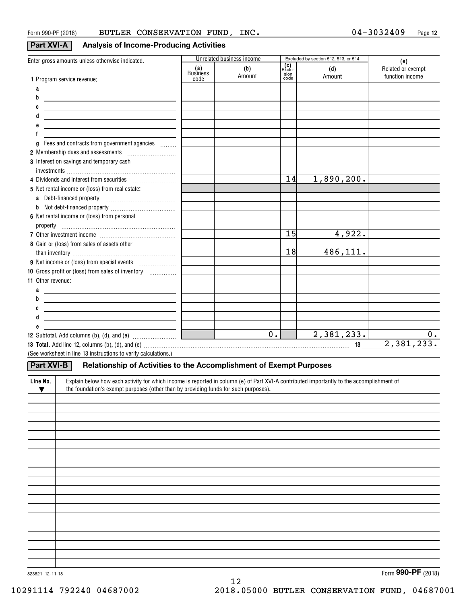# **Part XVI-A Analysis of Income-Producing Activities**

| Enter gross amounts unless otherwise indicated.                                                                                                       |                 | Unrelated business income |                               | Excluded by section 512, 513, or 514 |                                             |
|-------------------------------------------------------------------------------------------------------------------------------------------------------|-----------------|---------------------------|-------------------------------|--------------------------------------|---------------------------------------------|
|                                                                                                                                                       | (a)<br>Business | (b)<br>Amount             | (C)<br>Exclu-<br>sion<br>code | (d)<br>Amount                        | (e)<br>Related or exempt<br>function income |
| 1 Program service revenue:                                                                                                                            | code            |                           |                               |                                      |                                             |
| a<br><u> 1989 - Johann Barn, amerikansk politiker (</u>                                                                                               |                 |                           |                               |                                      |                                             |
| b<br><u> 1989 - Johann Barn, mars ann an t-Amhain ann an t-Amhain ann an t-Amhain ann an t-Amhain ann an t-Amhain ann </u>                            |                 |                           |                               |                                      |                                             |
| C<br><u> 1989 - Johann Stoff, amerikansk politiker (d. 1989)</u>                                                                                      |                 |                           |                               |                                      |                                             |
| <u> 1989 - Johann Stein, fransk politik (d. 1989)</u>                                                                                                 |                 |                           |                               |                                      |                                             |
| <u> 1989 - Johann Barn, mars and de Brasilian (b. 1989)</u>                                                                                           |                 |                           |                               |                                      |                                             |
|                                                                                                                                                       |                 |                           |                               |                                      |                                             |
| g Fees and contracts from government agencies                                                                                                         |                 |                           |                               |                                      |                                             |
| 2 Membership dues and assessments [1001] Membership dues and assessments                                                                              |                 |                           |                               |                                      |                                             |
| 3 Interest on savings and temporary cash                                                                                                              |                 |                           |                               |                                      |                                             |
|                                                                                                                                                       |                 |                           |                               |                                      |                                             |
| 4 Dividends and interest from securities                                                                                                              |                 |                           | 14                            | 1,890,200.                           |                                             |
| 5 Net rental income or (loss) from real estate:                                                                                                       |                 |                           |                               |                                      |                                             |
|                                                                                                                                                       |                 |                           |                               |                                      |                                             |
|                                                                                                                                                       |                 |                           |                               |                                      |                                             |
| 6 Net rental income or (loss) from personal                                                                                                           |                 |                           |                               |                                      |                                             |
|                                                                                                                                                       |                 |                           |                               |                                      |                                             |
|                                                                                                                                                       |                 |                           | 15                            | 4,922.                               |                                             |
| 8 Gain or (loss) from sales of assets other                                                                                                           |                 |                           |                               |                                      |                                             |
|                                                                                                                                                       |                 |                           | 18                            | 486,111.                             |                                             |
|                                                                                                                                                       |                 |                           |                               |                                      |                                             |
| 10 Gross profit or (loss) from sales of inventory <i></i>                                                                                             |                 |                           |                               |                                      |                                             |
| 11 Other revenue:                                                                                                                                     |                 |                           |                               |                                      |                                             |
| a<br><u> 1989 - Johann Barn, fransk politik amerikansk politik (</u>                                                                                  |                 |                           |                               |                                      |                                             |
| b<br><u> 1989 - Johann Barn, mars et al. (b. 1989)</u>                                                                                                |                 |                           |                               |                                      |                                             |
| <u> 1989 - Johann Stein, mars an de Frankrik (f. 1989)</u>                                                                                            |                 |                           |                               |                                      |                                             |
| <u> 1980 - Johann John Stone, markin fizik eta idazlearia (h. 1980).</u>                                                                              |                 |                           |                               |                                      |                                             |
|                                                                                                                                                       |                 |                           |                               |                                      |                                             |
| <b>12</b> Subtotal. Add columns (b), (d), and (e) $\quad \ldots \ldots \ldots \ldots \ldots \ldots \quad \blacksquare$                                |                 | $\overline{0}$ .          |                               | 2,381,233.                           | 0.                                          |
|                                                                                                                                                       |                 |                           |                               |                                      | 2,381,233.                                  |
| (See worksheet in line 13 instructions to verify calculations.)                                                                                       |                 |                           |                               |                                      |                                             |
| Part XVI-B<br>Relationship of Activities to the Accomplishment of Exempt Purposes                                                                     |                 |                           |                               |                                      |                                             |
| Explain below how each activity for which income is reported in column (e) of Part XVI-A contributed importantly to the accomplishment of<br>Line No. |                 |                           |                               |                                      |                                             |
| the foundation's exempt purposes (other than by providing funds for such purposes).<br>$\blacktriangledown$                                           |                 |                           |                               |                                      |                                             |
|                                                                                                                                                       |                 |                           |                               |                                      |                                             |
|                                                                                                                                                       |                 |                           |                               |                                      |                                             |
|                                                                                                                                                       |                 |                           |                               |                                      |                                             |
|                                                                                                                                                       |                 |                           |                               |                                      |                                             |
|                                                                                                                                                       |                 |                           |                               |                                      |                                             |
|                                                                                                                                                       |                 |                           |                               |                                      |                                             |
|                                                                                                                                                       |                 |                           |                               |                                      |                                             |
|                                                                                                                                                       |                 |                           |                               |                                      |                                             |
|                                                                                                                                                       |                 |                           |                               |                                      |                                             |
|                                                                                                                                                       |                 |                           |                               |                                      |                                             |
|                                                                                                                                                       |                 |                           |                               |                                      |                                             |
|                                                                                                                                                       |                 |                           |                               |                                      |                                             |
|                                                                                                                                                       |                 |                           |                               |                                      |                                             |
|                                                                                                                                                       |                 |                           |                               |                                      |                                             |
|                                                                                                                                                       |                 |                           |                               |                                      |                                             |
|                                                                                                                                                       |                 |                           |                               |                                      |                                             |
|                                                                                                                                                       |                 |                           |                               |                                      |                                             |
|                                                                                                                                                       |                 |                           |                               |                                      |                                             |

12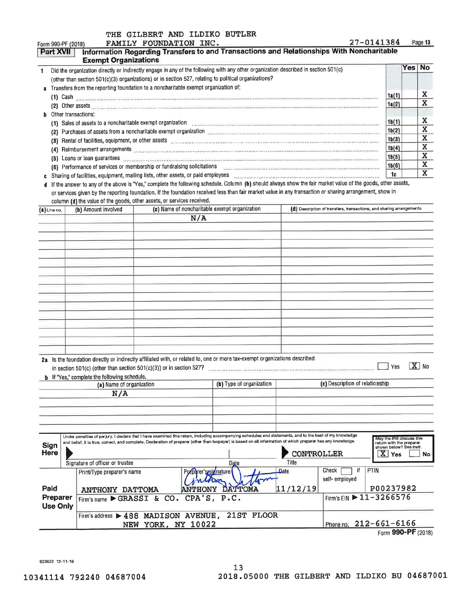# THE GILBERT AND ILDIKO BUTLER

| 27-0141384<br>FAMILY FOUNDATION INC.<br>Form 990-PF (2018)                                                                                                                                                                                                                                                                                                                   |                                          |      | Page 13 |
|------------------------------------------------------------------------------------------------------------------------------------------------------------------------------------------------------------------------------------------------------------------------------------------------------------------------------------------------------------------------------|------------------------------------------|------|---------|
| Information Regarding Transfers to and Transactions and Relationships With Noncharitable<br>Part XVII<br><b>Exempt Organizations</b>                                                                                                                                                                                                                                         |                                          |      |         |
| Did the organization directly or indirectly engage in any of the following with any other organization described in section 501(c)<br>(other than section 501(c)(3) organizations) or in section 527, relating to political organizations?                                                                                                                                   |                                          | Yesl | No      |
| a Transfers from the reporting foundation to a noncharitable exempt organization of:<br>(1)<br>(2) Other assets                                                                                                                                                                                                                                                              | 1a(1)<br>1a(2)                           |      | A<br>X  |
| Other transactions:<br>h<br>(1) Sales of assets to a noncharitable exempt organization                                                                                                                                                                                                                                                                                       | 1b(1)                                    |      | x       |
| Purchases of assets from a noncharitable exempt organization executive contracts contracts contracts and contracts are contracted as a set of the Purchase of assets from a noncharitation of the set of a set of the set of t<br>(2)                                                                                                                                        | 1 <sub>b</sub> (2)<br>1 <sub>b</sub> (3) |      | Χ<br>A  |
| Rental of facilities, equipment, or other assets processes assesses and construction of the construction of the construction of the construction of the construction of the construction of the construction of the constructi<br>(3)<br>Reimbursement arrangements www.communication.com/interaction.com/interaction.com/interaction.com/interaction.com/interaction<br>(4) | 1 <sub>b</sub> (4)                       |      | x<br>x  |
| Loans or loan guarantees with the contract of the contract of the contract of the contract of the contract of<br>(5)<br>Performance of services or membership or fundraising solicitations<br>(6)                                                                                                                                                                            | 1 <sub>b</sub> (5)<br>1b(6)              |      | X       |
| Sharing of facilities, equipment, mailing lists, other assets, or paid employees                                                                                                                                                                                                                                                                                             | 10                                       |      | A       |

d If the answer to any of the above is "Yes," complete the following schedule. Column (b) should always show the fair market value of the goods, other assets, or services given by the reporting foundation. If the foundation received less than fair market value in any transaction or sharing arrangement, show in column (d) the value of the goods, other assets, or services received.

| (a) Line no.               | (c) Name of noncharitable exempt organization<br>(b) Amount involved |                                                                                                                                                                                                           | (d) Description of transfers, transactions, and sharing arrangements |                                                                                                                                                                        |                                                                                                    |
|----------------------------|----------------------------------------------------------------------|-----------------------------------------------------------------------------------------------------------------------------------------------------------------------------------------------------------|----------------------------------------------------------------------|------------------------------------------------------------------------------------------------------------------------------------------------------------------------|----------------------------------------------------------------------------------------------------|
|                            |                                                                      | N/A                                                                                                                                                                                                       |                                                                      |                                                                                                                                                                        |                                                                                                    |
|                            |                                                                      |                                                                                                                                                                                                           |                                                                      |                                                                                                                                                                        |                                                                                                    |
|                            |                                                                      |                                                                                                                                                                                                           |                                                                      |                                                                                                                                                                        |                                                                                                    |
|                            |                                                                      |                                                                                                                                                                                                           |                                                                      |                                                                                                                                                                        |                                                                                                    |
|                            |                                                                      |                                                                                                                                                                                                           |                                                                      |                                                                                                                                                                        |                                                                                                    |
|                            |                                                                      |                                                                                                                                                                                                           |                                                                      |                                                                                                                                                                        |                                                                                                    |
|                            |                                                                      |                                                                                                                                                                                                           |                                                                      |                                                                                                                                                                        |                                                                                                    |
|                            |                                                                      |                                                                                                                                                                                                           |                                                                      |                                                                                                                                                                        |                                                                                                    |
|                            |                                                                      |                                                                                                                                                                                                           |                                                                      |                                                                                                                                                                        |                                                                                                    |
|                            |                                                                      |                                                                                                                                                                                                           |                                                                      |                                                                                                                                                                        |                                                                                                    |
|                            |                                                                      |                                                                                                                                                                                                           |                                                                      |                                                                                                                                                                        |                                                                                                    |
|                            |                                                                      |                                                                                                                                                                                                           |                                                                      |                                                                                                                                                                        |                                                                                                    |
|                            |                                                                      |                                                                                                                                                                                                           |                                                                      |                                                                                                                                                                        |                                                                                                    |
|                            |                                                                      |                                                                                                                                                                                                           |                                                                      |                                                                                                                                                                        |                                                                                                    |
|                            |                                                                      |                                                                                                                                                                                                           |                                                                      |                                                                                                                                                                        |                                                                                                    |
|                            | <b>b</b> If "Yes," complete the following schedule.                  | 2a Is the foundation directly or indirectly affiliated with, or related to, one or more tax-exempt organizations described<br>in section $501(c)$ (other than section $501(c)(3)$ ) or in section $527$ ? |                                                                      |                                                                                                                                                                        | $\overline{\mathbf{X}}$ No<br>Yes                                                                  |
|                            | (a) Name of organization                                             |                                                                                                                                                                                                           | (b) Type of organization                                             | (c) Description of relationship                                                                                                                                        |                                                                                                    |
|                            | N/A                                                                  |                                                                                                                                                                                                           |                                                                      |                                                                                                                                                                        |                                                                                                    |
|                            |                                                                      |                                                                                                                                                                                                           |                                                                      |                                                                                                                                                                        |                                                                                                    |
|                            |                                                                      |                                                                                                                                                                                                           |                                                                      |                                                                                                                                                                        |                                                                                                    |
|                            |                                                                      |                                                                                                                                                                                                           |                                                                      |                                                                                                                                                                        |                                                                                                    |
|                            |                                                                      |                                                                                                                                                                                                           |                                                                      |                                                                                                                                                                        |                                                                                                    |
| <b>Sign</b><br><b>Here</b> |                                                                      | and belief, it is true, correct, and complete. Declaration of preparer (other than taxpayer) is based on all information of which preparer has any knowledge.                                             |                                                                      | Under penalties of perjury, I declare that I have examined this return, including accompanying schedules and statements, and to the best of my knowledge<br>CONTROLLER | May the IRS discuss this<br>return with the preparer<br>shown below? See instr.<br>x.<br>Yes<br>No |
|                            | Signature of officer or trustee                                      |                                                                                                                                                                                                           | Date                                                                 | Title                                                                                                                                                                  |                                                                                                    |
|                            | Print/Type preparer's name                                           | Preparer's signature                                                                                                                                                                                      |                                                                      | Check<br>if<br>Date                                                                                                                                                    | PTIN                                                                                               |
|                            |                                                                      |                                                                                                                                                                                                           |                                                                      | self-employed                                                                                                                                                          | P00237982                                                                                          |
| Paid<br>Preparer           | <b>ANTHONY DATTOMA</b>                                               | <b>ANTHONY</b>                                                                                                                                                                                            | DATTOMA<br>P.C.                                                      | 11/12/19                                                                                                                                                               | Firm's EIN ▶ 11-3266576                                                                            |
| <b>Use Only</b>            |                                                                      | Firm's name $\triangleright$ GRASSI & CO. CPA'S,                                                                                                                                                          |                                                                      |                                                                                                                                                                        |                                                                                                    |
|                            |                                                                      | Firm's address > 488 MADISON AVENUE,                                                                                                                                                                      | 21ST FLOOR                                                           |                                                                                                                                                                        |                                                                                                    |
|                            |                                                                      | NEW YORK, NY 10022                                                                                                                                                                                        |                                                                      |                                                                                                                                                                        | Phone no. 212-661-6166                                                                             |
|                            |                                                                      |                                                                                                                                                                                                           |                                                                      |                                                                                                                                                                        | 00000                                                                                              |

Form 990-PF (2018)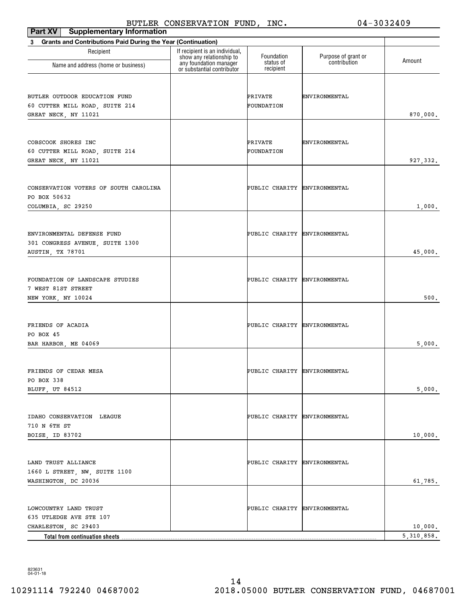| Part XV<br><b>Supplementary Information</b>                       | DOIDER CONDERVAILON FOND,                                  | ᆠᄭᇰ                          | ◡≖                  | しししムモいし      |
|-------------------------------------------------------------------|------------------------------------------------------------|------------------------------|---------------------|--------------|
| Grants and Contributions Paid During the Year (Continuation)<br>3 |                                                            |                              |                     |              |
| Recipient                                                         | If recipient is an individual,<br>show any relationship to | Foundation                   | Purpose of grant or |              |
| Name and address (home or business)                               | any foundation manager<br>or substantial contributor       | status of<br>recipient       | contribution        | Amount       |
| BUTLER OUTDOOR EDUCATION FUND                                     |                                                            | PRIVATE                      | ENVIRONMENTAL       |              |
| 60 CUTTER MILL ROAD, SUITE 214<br>GREAT NECK, NY 11021            |                                                            | FOUNDATION                   |                     | 870,000.     |
|                                                                   |                                                            |                              |                     |              |
| COBSCOOK SHORES INC                                               |                                                            | PRIVATE                      | ENVIRONMENTAL       |              |
| 60 CUTTER MILL ROAD, SUITE 214                                    |                                                            | FOUNDATION                   |                     |              |
| GREAT NECK, NY 11021                                              |                                                            |                              |                     | 927, 332.    |
|                                                                   |                                                            |                              |                     |              |
| CONSERVATION VOTERS OF SOUTH CAROLINA<br>PO BOX 50632             |                                                            | PUBLIC CHARITY ENVIRONMENTAL |                     |              |
| COLUMBIA, SC 29250                                                |                                                            |                              |                     | 1,000.       |
|                                                                   |                                                            |                              |                     |              |
| ENVIRONMENTAL DEFENSE FUND                                        |                                                            | PUBLIC CHARITY ENVIRONMENTAL |                     |              |
| 301 CONGRESS AVENUE, SUITE 1300                                   |                                                            |                              |                     |              |
| AUSTIN, TX 78701                                                  |                                                            |                              |                     | 45,000.      |
|                                                                   |                                                            |                              |                     |              |
| FOUNDATION OF LANDSCAPE STUDIES                                   |                                                            | PUBLIC CHARITY ENVIRONMENTAL |                     |              |
| 7 WEST 81ST STREET<br>NEW YORK, NY 10024                          |                                                            |                              |                     | 500.         |
|                                                                   |                                                            |                              |                     |              |
| FRIENDS OF ACADIA                                                 |                                                            | PUBLIC CHARITY ENVIRONMENTAL |                     |              |
| PO BOX 45                                                         |                                                            |                              |                     |              |
| BAR HARBOR, ME 04069                                              |                                                            |                              |                     | 5,000.       |
|                                                                   |                                                            |                              |                     |              |
| FRIENDS OF CEDAR MESA                                             |                                                            | PUBLIC CHARITY ENVIRONMENTAL |                     |              |
| PO BOX 338<br>BLUFF, UT 84512                                     |                                                            |                              |                     | 5,000.       |
|                                                                   |                                                            |                              |                     |              |
| IDAHO CONSERVATION LEAGUE                                         |                                                            | PUBLIC CHARITY ENVIRONMENTAL |                     |              |
| 710 N 6TH ST                                                      |                                                            |                              |                     |              |
| BOISE, ID 83702                                                   |                                                            |                              |                     | 10,000.      |
|                                                                   |                                                            |                              |                     |              |
| LAND TRUST ALLIANCE                                               |                                                            | PUBLIC CHARITY ENVIRONMENTAL |                     |              |
| 1660 L STREET, NW, SUITE 1100<br>WASHINGTON, DC 20036             |                                                            |                              |                     |              |
|                                                                   |                                                            |                              |                     | 61,785.      |
| LOWCOUNTRY LAND TRUST                                             |                                                            | PUBLIC CHARITY ENVIRONMENTAL |                     |              |
| 635 UTLEDGE AVE STE 107                                           |                                                            |                              |                     |              |
| CHARLESTON, SC 29403                                              |                                                            |                              |                     | 10,000.      |
|                                                                   |                                                            |                              |                     | 5, 310, 858. |

823631 04-01-18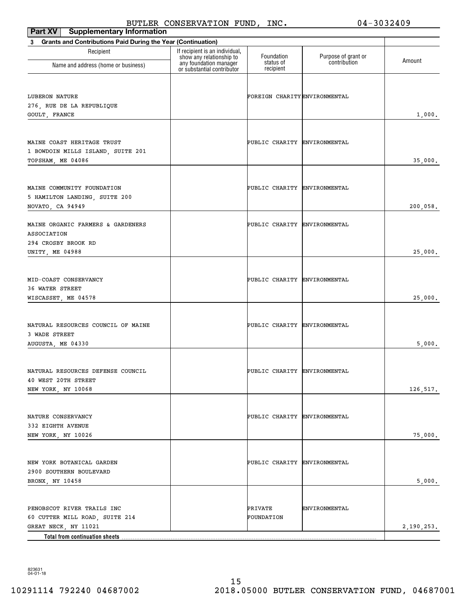| Part XV<br><b>Supplementary Information</b>                                                                            |                                                                                      |                               |                                     |            |
|------------------------------------------------------------------------------------------------------------------------|--------------------------------------------------------------------------------------|-------------------------------|-------------------------------------|------------|
| <b>Grants and Contributions Paid During the Year (Continuation)</b><br>3                                               |                                                                                      |                               |                                     |            |
| Recipient<br>Name and address (home or business)                                                                       | If recipient is an individual,<br>show any relationship to<br>any foundation manager | Foundation<br>status of       | Purpose of grant or<br>contribution | Amount     |
|                                                                                                                        | or substantial contributor                                                           | recipient                     |                                     |            |
| LUBERON NATURE<br>276, RUE DE LA REPUBLIQUE                                                                            |                                                                                      | FOREIGN CHARITY ENVIRONMENTAL |                                     | 1,000.     |
| GOULT, FRANCE                                                                                                          |                                                                                      |                               |                                     |            |
| MAINE COAST HERITAGE TRUST<br>1 BOWDOIN MILLS ISLAND, SUITE 201<br>TOPSHAM, ME 04086                                   |                                                                                      | PUBLIC CHARITY ENVIRONMENTAL  |                                     | 35,000.    |
| MAINE COMMUNITY FOUNDATION<br>5 HAMILTON LANDING, SUITE 200<br>NOVATO, CA 94949                                        |                                                                                      | PUBLIC CHARITY ENVIRONMENTAL  |                                     | 200,058.   |
| MAINE ORGANIC FARMERS & GARDENERS<br>ASSOCIATION<br>294 CROSBY BROOK RD                                                |                                                                                      | PUBLIC CHARITY ENVIRONMENTAL  |                                     |            |
| UNITY, ME 04988                                                                                                        |                                                                                      |                               |                                     | 25,000.    |
| MID-COAST CONSERVANCY<br>36 WATER STREET<br>WISCASSET, ME 04578                                                        |                                                                                      | PUBLIC CHARITY ENVIRONMENTAL  |                                     | 25,000.    |
| NATURAL RESOURCES COUNCIL OF MAINE<br>3 WADE STREET<br>AUGUSTA, ME 04330                                               |                                                                                      | PUBLIC CHARITY ENVIRONMENTAL  |                                     | 5,000.     |
| NATURAL RESOURCES DEFENSE COUNCIL<br>40 WEST 20TH STREET<br>NEW YORK, NY 10068                                         |                                                                                      | PUBLIC CHARITY ENVIRONMENTAL  |                                     | 126,517.   |
| NATURE CONSERVANCY<br>332 EIGHTH AVENUE<br>NEW YORK, NY 10026                                                          |                                                                                      | PUBLIC CHARITY ENVIRONMENTAL  |                                     | 75,000.    |
| NEW YORK BOTANICAL GARDEN<br>2900 SOUTHERN BOULEVARD<br>BRONX, NY 10458                                                |                                                                                      | PUBLIC CHARITY ENVIRONMENTAL  |                                     | 5,000.     |
| PENOBSCOT RIVER TRAILS INC<br>60 CUTTER MILL ROAD, SUITE 214<br>GREAT NECK, NY 11021<br>Total from continuation sheets |                                                                                      | PRIVATE<br>FOUNDATION         | ENVIRONMENTAL                       | 2,190,253. |

823631 04-01-18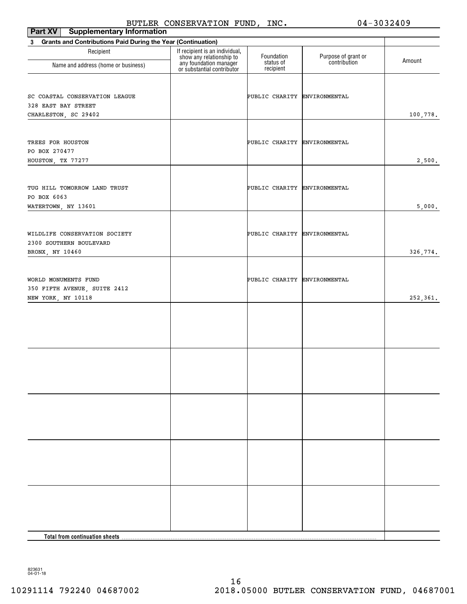| Part XV<br><b>Supplementary Information</b>                                        |                                                                                                                    |                              |                                     |          |
|------------------------------------------------------------------------------------|--------------------------------------------------------------------------------------------------------------------|------------------------------|-------------------------------------|----------|
| <b>Grants and Contributions Paid During the Year (Continuation)</b><br>$3^{\circ}$ |                                                                                                                    |                              |                                     |          |
| Recipient                                                                          | If recipient is an individual,<br>show any relationship to<br>any foundation manager<br>or substantial contributor | Foundation<br>status of      | Purpose of grant or<br>contribution | Amount   |
| Name and address (home or business)                                                |                                                                                                                    | recipient                    |                                     |          |
| SC COASTAL CONSERVATION LEAGUE<br>328 EAST BAY STREET<br>CHARLESTON, SC 29402      |                                                                                                                    | PUBLIC CHARITY ENVIRONMENTAL |                                     | 100,778. |
| TREES FOR HOUSTON<br>PO BOX 270477<br>HOUSTON, TX 77277                            |                                                                                                                    | PUBLIC CHARITY ENVIRONMENTAL |                                     | 2,500.   |
| TUG HILL TOMORROW LAND TRUST<br>PO BOX 6063<br>WATERTOWN, NY 13601                 |                                                                                                                    | PUBLIC CHARITY ENVIRONMENTAL |                                     | 5,000.   |
| WILDLIFE CONSERVATION SOCIETY<br>2300 SOUTHERN BOULEVARD<br>BRONX, NY 10460        |                                                                                                                    | PUBLIC CHARITY ENVIRONMENTAL |                                     | 326,774. |
| WORLD MONUMENTS FUND<br>350 FIFTH AVENUE, SUITE 2412<br>NEW YORK, NY 10118         |                                                                                                                    | PUBLIC CHARITY ENVIRONMENTAL |                                     | 252,361. |
|                                                                                    |                                                                                                                    |                              |                                     |          |
|                                                                                    |                                                                                                                    |                              |                                     |          |
|                                                                                    |                                                                                                                    |                              |                                     |          |
|                                                                                    |                                                                                                                    |                              |                                     |          |
|                                                                                    |                                                                                                                    |                              |                                     |          |
| Total from continuation sheets.                                                    |                                                                                                                    |                              |                                     |          |

823631 04-01-18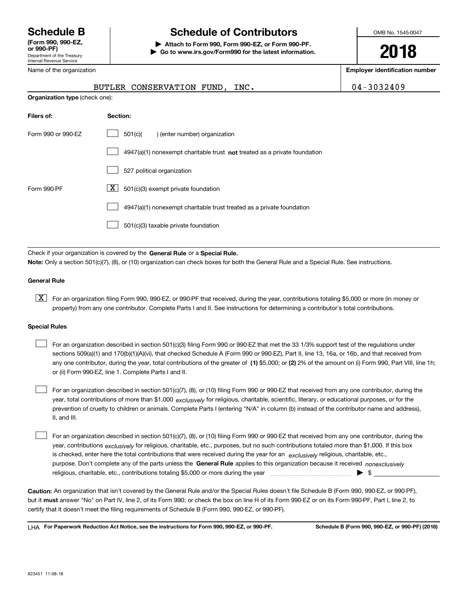Department of the Treasury Internal Revenue Service **(Form 990, 990-EZ, or 990-PF)**

Name of the organization

# **Schedule B Schedule of Contributors**

**| Attach to Form 990, Form 990-EZ, or Form 990-PF. | Go to www.irs.gov/Form990 for the latest information.** OMB No. 1545-0047

**2018**

**Employer identification number**

|                                       | BUTLER CONSERVATION FUND, | INC. | $04 - 3032409$ |
|---------------------------------------|---------------------------|------|----------------|
| <b>Organization type (check one):</b> |                           |      |                |

| Filers of:         | Section:                                                                    |  |  |  |
|--------------------|-----------------------------------------------------------------------------|--|--|--|
| Form 990 or 990-EZ | 501(c)(<br>) (enter number) organization                                    |  |  |  |
|                    | $4947(a)(1)$ nonexempt charitable trust not treated as a private foundation |  |  |  |
|                    | 527 political organization                                                  |  |  |  |
| Form 990-PF        | X.<br>501(c)(3) exempt private foundation                                   |  |  |  |
|                    | 4947(a)(1) nonexempt charitable trust treated as a private foundation       |  |  |  |
|                    | 501(c)(3) taxable private foundation                                        |  |  |  |

Check if your organization is covered by the **General Rule** or a **Special Rule. Note:**  Only a section 501(c)(7), (8), or (10) organization can check boxes for both the General Rule and a Special Rule. See instructions.

## **General Rule**

 $\boxed{\textbf{X}}$  For an organization filing Form 990, 990-EZ, or 990-PF that received, during the year, contributions totaling \$5,000 or more (in money or property) from any one contributor. Complete Parts I and II. See instructions for determining a contributor's total contributions.

## **Special Rules**

| For an organization described in section 501(c)(3) filing Form 990 or 990-EZ that met the 33 1/3% support test of the regulations under               |
|-------------------------------------------------------------------------------------------------------------------------------------------------------|
| sections 509(a)(1) and 170(b)(1)(A)(vi), that checked Schedule A (Form 990 or 990-EZ), Part II, line 13, 16a, or 16b, and that received from          |
| any one contributor, during the year, total contributions of the greater of (1) \$5,000; or (2) 2% of the amount on (i) Form 990, Part VIII, line 1h; |
| or (ii) Form 990-EZ, line 1. Complete Parts I and II.                                                                                                 |

year, total contributions of more than \$1,000 *exclusively* for religious, charitable, scientific, literary, or educational purposes, or for the For an organization described in section 501(c)(7), (8), or (10) filing Form 990 or 990-EZ that received from any one contributor, during the prevention of cruelty to children or animals. Complete Parts I (entering "N/A" in column (b) instead of the contributor name and address), II, and III.  $\mathcal{L}^{\text{max}}$ 

purpose. Don't complete any of the parts unless the **General Rule** applies to this organization because it received *nonexclusively* year, contributions <sub>exclusively</sub> for religious, charitable, etc., purposes, but no such contributions totaled more than \$1,000. If this box is checked, enter here the total contributions that were received during the year for an *exclusively* religious, charitable, etc., For an organization described in section 501(c)(7), (8), or (10) filing Form 990 or 990-EZ that received from any one contributor, during the religious, charitable, etc., contributions totaling \$5,000 or more during the year  $\Box$ — $\Box$  =  $\Box$  $\mathcal{L}^{\text{max}}$ 

**Caution:**  An organization that isn't covered by the General Rule and/or the Special Rules doesn't file Schedule B (Form 990, 990-EZ, or 990-PF),  **must** but it answer "No" on Part IV, line 2, of its Form 990; or check the box on line H of its Form 990-EZ or on its Form 990-PF, Part I, line 2, to certify that it doesn't meet the filing requirements of Schedule B (Form 990, 990-EZ, or 990-PF).

**For Paperwork Reduction Act Notice, see the instructions for Form 990, 990-EZ, or 990-PF. Schedule B (Form 990, 990-EZ, or 990-PF) (2018)** LHA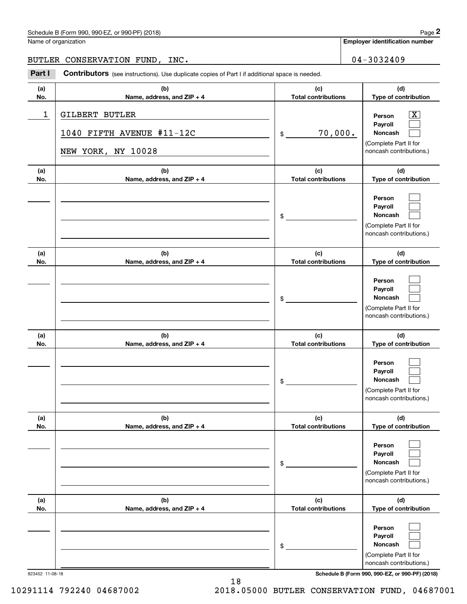# Schedule B (Form 990, 990-EZ, or 990-PF) (2018) **Page 2** and the state of the state of the Page 2

# BUTLER CONSERVATION FUND, INC. 04-3032409

Contributors (see instructions). Use duplicate copies of Part I if additional space is needed. Chedule B (Form 990, 990-EZ, or 990-PF) (2018)<br>Iame of organization<br>**2Part I 2Part I CONSERVATION FUND, INC.**<br>**2Part I Contributors** (see instructions). Use duplicate copies of Part I if additional space is needed.

| (a)        | (b)                                                               | (c)                               | (d)                                                                                                                |
|------------|-------------------------------------------------------------------|-----------------------------------|--------------------------------------------------------------------------------------------------------------------|
| No.        | Name, address, and ZIP + 4                                        | <b>Total contributions</b>        | Type of contribution                                                                                               |
| 1          | GILBERT BUTLER<br>1040 FIFTH AVENUE #11-12C<br>NEW YORK, NY 10028 | 70,000.<br>$\mathsf{\$}$          | $\overline{\mathbf{X}}$<br>Person<br>Payroll<br><b>Noncash</b><br>(Complete Part II for<br>noncash contributions.) |
| (a)<br>No. | (b)<br>Name, address, and ZIP + 4                                 | (c)<br><b>Total contributions</b> | (d)<br>Type of contribution                                                                                        |
|            |                                                                   | $\frac{1}{2}$                     | Person<br>Payroll<br>Noncash<br>(Complete Part II for<br>noncash contributions.)                                   |
| (a)<br>No. | (b)<br>Name, address, and ZIP + 4                                 | (c)<br><b>Total contributions</b> | (d)<br>Type of contribution                                                                                        |
|            |                                                                   | $\frac{1}{2}$                     | Person<br>Payroll<br><b>Noncash</b><br>(Complete Part II for<br>noncash contributions.)                            |
| (a)<br>No. | (b)<br>Name, address, and ZIP + 4                                 | (c)<br><b>Total contributions</b> | (d)<br>Type of contribution                                                                                        |
|            |                                                                   | $\frac{1}{2}$                     | Person<br>Payroll<br>Noncash<br>(Complete Part II for<br>noncash contributions.)                                   |
| (a)<br>No. | (b)<br>Name, address, and ZIP + 4                                 | (c)<br><b>Total contributions</b> | (d)<br>Type of contribution                                                                                        |
|            |                                                                   | \$                                | Person<br>Payroll<br>Noncash<br>(Complete Part II for<br>noncash contributions.)                                   |
| (a)<br>No. | (b)<br>Name, address, and ZIP + 4                                 | (c)<br><b>Total contributions</b> | (d)<br>Type of contribution                                                                                        |
|            |                                                                   | \$                                | Person<br>Payroll<br>Noncash<br>(Complete Part II for<br>noncash contributions.)                                   |

823452 11-08-18 **Schedule B (Form 990, 990-EZ, or 990-PF) (2018)**

10291114 792240 04687002 2018.05000 BUTLER CONSERVATION FUND, 04687001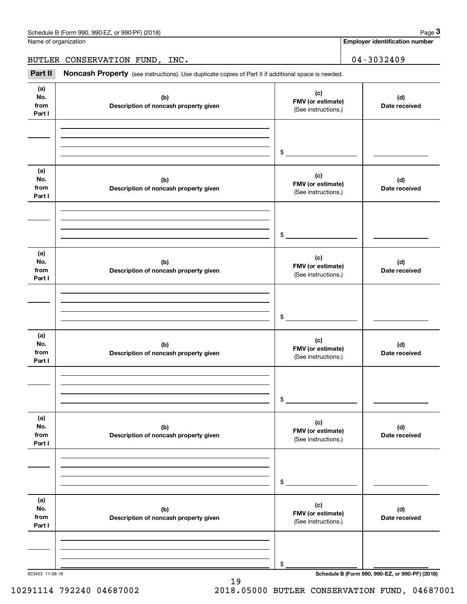| Schedule B (Form 990, 990-EZ, or 990-PF) (2018) | Page |
|-------------------------------------------------|------|
|-------------------------------------------------|------|

Name of organization

**Employer identification number**

BUTLER CONSERVATION FUND, INC. 04-3032409

Chedule B (Form 990, 990-EZ, or 990-PF) (2018)<br> **2Part II CONSERVATION FUND, INC.**<br> **3Part II Noncash Property** (see instructions). Use duplicate copies of Part II if additional space is needed.

| (a)<br>No.<br>from<br>Part I | (b)<br>Description of noncash property given | (c)<br>FMV (or estimate)<br>(See instructions.) | (d)<br>Date received |
|------------------------------|----------------------------------------------|-------------------------------------------------|----------------------|
|                              |                                              | $$\overbrace{\hspace{2.5cm}}$                   |                      |
| (a)<br>No.<br>from<br>Part I | (b)<br>Description of noncash property given | (c)<br>FMV (or estimate)<br>(See instructions.) | (d)<br>Date received |
|                              |                                              | $\frac{1}{2}$                                   |                      |
| (a)<br>No.<br>from<br>Part I | (b)<br>Description of noncash property given | (c)<br>FMV (or estimate)<br>(See instructions.) | (d)<br>Date received |
|                              |                                              | $\frac{1}{2}$                                   |                      |
| (a)<br>No.<br>from<br>Part I | (b)<br>Description of noncash property given | (c)<br>FMV (or estimate)<br>(See instructions.) | (d)<br>Date received |
|                              |                                              | $\mathfrak s$                                   |                      |
| (a)<br>No.<br>from<br>Part I | (b)<br>Description of noncash property given | (c)<br>FMV (or estimate)<br>(See instructions.) | (d)<br>Date received |
|                              |                                              | \$                                              |                      |
| (a)<br>No.<br>from<br>Part I | (b)<br>Description of noncash property given | (c)<br>FMV (or estimate)<br>(See instructions.) | (d)<br>Date received |
|                              |                                              | \$                                              |                      |

19

10291114 792240 04687002 2018.05000 BUTLER CONSERVATION FUND, 04687001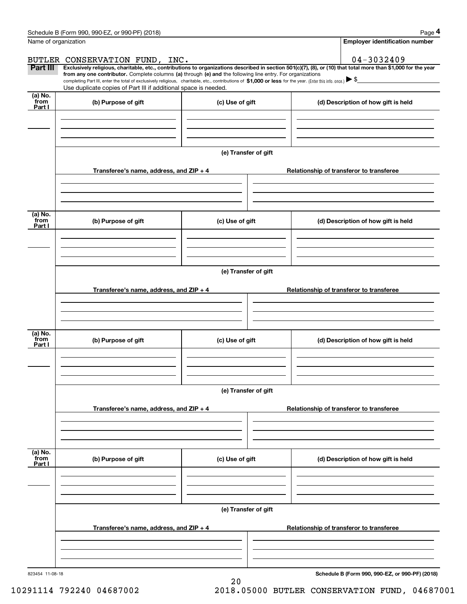|                           | Schedule B (Form 990, 990-EZ, or 990-PF) (2018)                                                                                                                                                                                                      |                      |                                                                                                                                                                | Page 4 |  |  |
|---------------------------|------------------------------------------------------------------------------------------------------------------------------------------------------------------------------------------------------------------------------------------------------|----------------------|----------------------------------------------------------------------------------------------------------------------------------------------------------------|--------|--|--|
| Name of organization      |                                                                                                                                                                                                                                                      |                      | <b>Employer identification number</b>                                                                                                                          |        |  |  |
|                           | BUTLER CONSERVATION FUND, INC.                                                                                                                                                                                                                       |                      | 04-3032409                                                                                                                                                     |        |  |  |
| Part III                  | from any one contributor. Complete columns (a) through (e) and the following line entry. For organizations                                                                                                                                           |                      | Exclusively religious, charitable, etc., contributions to organizations described in section 501(c)(7), (8), or (10) that total more than \$1,000 for the year |        |  |  |
|                           | completing Part III, enter the total of exclusively religious, charitable, etc., contributions of \$1,000 or less for the year. (Enter this info. once.) $\blacktriangleright$ \$<br>Use duplicate copies of Part III if additional space is needed. |                      |                                                                                                                                                                |        |  |  |
| (a) No.<br>from<br>Part I | (b) Purpose of gift                                                                                                                                                                                                                                  | (c) Use of gift      | (d) Description of how gift is held                                                                                                                            |        |  |  |
|                           |                                                                                                                                                                                                                                                      |                      |                                                                                                                                                                |        |  |  |
|                           |                                                                                                                                                                                                                                                      |                      |                                                                                                                                                                |        |  |  |
|                           |                                                                                                                                                                                                                                                      | (e) Transfer of gift |                                                                                                                                                                |        |  |  |
|                           | Transferee's name, address, and ZIP + 4                                                                                                                                                                                                              |                      | Relationship of transferor to transferee                                                                                                                       |        |  |  |
|                           |                                                                                                                                                                                                                                                      |                      |                                                                                                                                                                |        |  |  |
| (a) No.<br>from<br>Part I | (b) Purpose of gift                                                                                                                                                                                                                                  | (c) Use of gift      | (d) Description of how gift is held                                                                                                                            |        |  |  |
|                           |                                                                                                                                                                                                                                                      |                      |                                                                                                                                                                |        |  |  |
|                           |                                                                                                                                                                                                                                                      |                      |                                                                                                                                                                |        |  |  |
|                           | (e) Transfer of gift                                                                                                                                                                                                                                 |                      |                                                                                                                                                                |        |  |  |
|                           | Transferee's name, address, and ZIP + 4                                                                                                                                                                                                              |                      | Relationship of transferor to transferee                                                                                                                       |        |  |  |
|                           |                                                                                                                                                                                                                                                      |                      |                                                                                                                                                                |        |  |  |
| (a) No.<br>from<br>Part I | (b) Purpose of gift                                                                                                                                                                                                                                  | (c) Use of gift      | (d) Description of how gift is held                                                                                                                            |        |  |  |
|                           |                                                                                                                                                                                                                                                      |                      |                                                                                                                                                                |        |  |  |
|                           |                                                                                                                                                                                                                                                      |                      |                                                                                                                                                                |        |  |  |
|                           | (e) Transfer of gift                                                                                                                                                                                                                                 |                      |                                                                                                                                                                |        |  |  |
|                           | Transferee's name, address, and ZIP + 4                                                                                                                                                                                                              |                      | Relationship of transferor to transferee                                                                                                                       |        |  |  |
|                           |                                                                                                                                                                                                                                                      |                      |                                                                                                                                                                |        |  |  |
| (a) No.<br>from<br>Part I | (b) Purpose of gift                                                                                                                                                                                                                                  | (c) Use of gift      | (d) Description of how gift is held                                                                                                                            |        |  |  |
|                           |                                                                                                                                                                                                                                                      |                      |                                                                                                                                                                |        |  |  |
|                           |                                                                                                                                                                                                                                                      |                      |                                                                                                                                                                |        |  |  |
|                           | (e) Transfer of gift                                                                                                                                                                                                                                 |                      |                                                                                                                                                                |        |  |  |
|                           | Transferee's name, address, and $ZIP + 4$                                                                                                                                                                                                            |                      | Relationship of transferor to transferee                                                                                                                       |        |  |  |
|                           |                                                                                                                                                                                                                                                      |                      |                                                                                                                                                                |        |  |  |
|                           |                                                                                                                                                                                                                                                      |                      |                                                                                                                                                                |        |  |  |

20

823454 11-08-18

**Schedule B (Form 990, 990-EZ, or 990-PF) (2018)**

10291114 792240 04687002 2018.05000 BUTLER CONSERVATION FUND, 04687001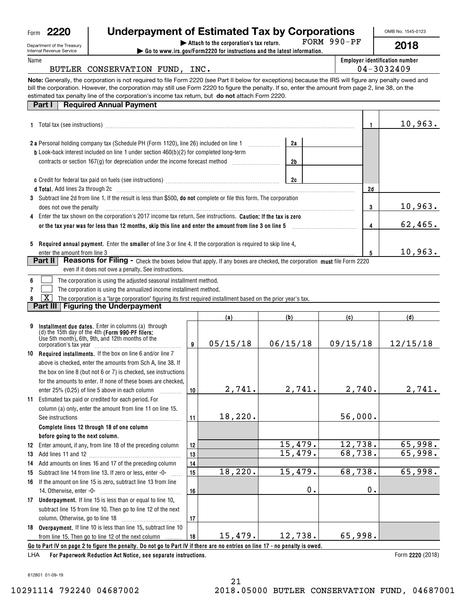| Form | n<br>$\sim$<br>۷<br>١. |
|------|------------------------|
|------|------------------------|

# **Underpayment of Estimated Tax by Corporations**

| Department of the Treasu |  |
|--------------------------|--|
| Internal Revenue Service |  |

| 2220<br>Form                                                                                                                                                                                                                         | <b>Underpayment of Estimated Tax by Corporations</b>                                                                                                                                                                                                                                                                                                                                                            |          |    | OMB No. 1545-0123                                   |
|--------------------------------------------------------------------------------------------------------------------------------------------------------------------------------------------------------------------------------------|-----------------------------------------------------------------------------------------------------------------------------------------------------------------------------------------------------------------------------------------------------------------------------------------------------------------------------------------------------------------------------------------------------------------|----------|----|-----------------------------------------------------|
| Department of the Treasury<br>Internal Revenue Service                                                                                                                                                                               | $FORM 990-PF$                                                                                                                                                                                                                                                                                                                                                                                                   | 2018     |    |                                                     |
| Name                                                                                                                                                                                                                                 | BUTLER CONSERVATION FUND, INC.                                                                                                                                                                                                                                                                                                                                                                                  |          |    | <b>Employer identification number</b><br>04-3032409 |
|                                                                                                                                                                                                                                      | Note: Generally, the corporation is not required to file Form 2220 (see Part II below for exceptions) because the IRS will figure any penalty owed and<br>bill the corporation. However, the corporation may still use Form 2220 to figure the penalty. If so, enter the amount from page 2, line 38, on the<br>estimated tax penalty line of the corporation's income tax return, but do not attach Form 2220. |          |    |                                                     |
| <b>Part I</b>                                                                                                                                                                                                                        | <b>Required Annual Payment</b>                                                                                                                                                                                                                                                                                                                                                                                  |          |    |                                                     |
|                                                                                                                                                                                                                                      |                                                                                                                                                                                                                                                                                                                                                                                                                 |          | 1  | 10,963.                                             |
|                                                                                                                                                                                                                                      | 2 a Personal holding company tax (Schedule PH (Form 1120), line 26) included on line 1<br><b>b</b> Look-back interest included on line 1 under section 460(b)(2) for completed long-term                                                                                                                                                                                                                        | 2a<br>2b |    |                                                     |
|                                                                                                                                                                                                                                      |                                                                                                                                                                                                                                                                                                                                                                                                                 | 2c       | 2d |                                                     |
| does not owe the penalty                                                                                                                                                                                                             | d Total. Add lines 2a through 2c [11] Martin Martin Martin Martin Martin Martin Martin Martin Martin Martin Ma<br>3 Subtract line 2d from line 1. If the result is less than \$500, <b>do not</b> complete or file this form. The corporation                                                                                                                                                                   |          | 3  | 10,963.                                             |
| Enter the tax shown on the corporation's 2017 income tax return. See instructions. <b>Caution: If the tax is zero</b><br>4<br>or the tax year was for less than 12 months, skip this line and enter the amount from line 3 on line 5 | 62,465.                                                                                                                                                                                                                                                                                                                                                                                                         |          |    |                                                     |
| 5                                                                                                                                                                                                                                    | <b>Required annual payment.</b> Enter the <b>smaller</b> of line 3 or line 4. If the corporation is required to skip line 4,                                                                                                                                                                                                                                                                                    |          | 5  | 10,963.                                             |
| Part II                                                                                                                                                                                                                              | <b>Reasons for Filing -</b> Check the boxes below that apply. If any boxes are checked, the corporation must file Form 2220<br>even if it does not owe a penalty. See instructions.                                                                                                                                                                                                                             |          |    |                                                     |

**6**The corporation is using the adjusted seasonal installment method. ٦

**7**The corporation is using the annualized income installment method.  $\mathcal{L}^{\text{max}}$ 

**8** $\boxed{\textbf{X}}$  The corporation is a "large corporation" figuring its first required installment based on the prior year's tax.

**Part III Figuring the Underpayment**

|     |                                                                                                                                                             |    | (a)      | (b)      | (c)      | (d)                   |  |
|-----|-------------------------------------------------------------------------------------------------------------------------------------------------------------|----|----------|----------|----------|-----------------------|--|
|     | Installment due dates. Enter in columns (a) through<br>(d) the 15th day of the 4th (Form 990-PF filers:<br>Use 5th month), 6th, 9th, and 12th months of the | 9  | 05/15/18 | 06/15/18 | 09/15/18 | 12/15/18              |  |
|     | 10 Required installments. If the box on line 6 and/or line 7                                                                                                |    |          |          |          |                       |  |
|     | above is checked, enter the amounts from Sch A, line 38. If                                                                                                 |    |          |          |          |                       |  |
|     | the box on line 8 (but not 6 or 7) is checked, see instructions                                                                                             |    |          |          |          |                       |  |
|     | for the amounts to enter. If none of these boxes are checked.                                                                                               |    |          |          |          |                       |  |
|     | enter 25% (0.25) of line 5 above in each column                                                                                                             | 10 | 2,741.   | 2,741.   | 2,740.   | 2,741.                |  |
| 11. | Estimated tax paid or credited for each period. For                                                                                                         |    |          |          |          |                       |  |
|     | column (a) only, enter the amount from line 11 on line 15.                                                                                                  |    |          |          |          |                       |  |
|     | See instructions                                                                                                                                            | 11 | 18,220.  |          | 56,000.  |                       |  |
|     | Complete lines 12 through 18 of one column                                                                                                                  |    |          |          |          |                       |  |
|     | before going to the next column.                                                                                                                            |    |          |          |          |                       |  |
| 12  | Enter amount, if any, from line 18 of the preceding column                                                                                                  | 12 |          | 15,479.  | 12,738.  | 65,998.               |  |
| 13  |                                                                                                                                                             | 13 |          | 15,479.  | 68,738.  | 65,998.               |  |
| 14  | Add amounts on lines 16 and 17 of the preceding column                                                                                                      | 14 |          |          |          |                       |  |
| 15  | Subtract line 14 from line 13. If zero or less, enter -0-                                                                                                   | 15 | 18,220.  | 15,479.  | 68,738.  | 65,998.               |  |
| 16  | If the amount on line 15 is zero, subtract line 13 from line                                                                                                |    |          |          |          |                       |  |
|     |                                                                                                                                                             | 16 |          | 0.       | 0.       |                       |  |
| 17  | <b>Underpayment.</b> If line 15 is less than or equal to line 10,                                                                                           |    |          |          |          |                       |  |
|     | subtract line 15 from line 10. Then go to line 12 of the next                                                                                               |    |          |          |          |                       |  |
|     |                                                                                                                                                             | 17 |          |          |          |                       |  |
|     | 18 Overpayment. If line 10 is less than line 15, subtract line 10                                                                                           |    |          |          |          |                       |  |
|     | from line 15. Then go to line 12 of the next column                                                                                                         | 18 | 15,479.  | 12,738.  | 65,998.  |                       |  |
|     | Go to Part IV on page 2 to figure the penalty. Do not go to Part IV if there are no entries on line 17 - no penalty is owed.                                |    |          |          |          |                       |  |
|     |                                                                                                                                                             |    |          |          |          | $\Gamma$ case $(0.0)$ |  |

**For Paperwork Reduction Act Notice, see separate instructions.** LHA

Form 2220 (2018)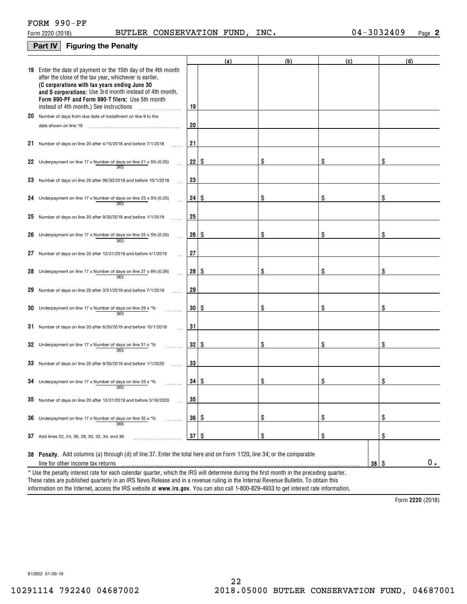# **Part IV Figuring the Penalty**

|    |                                                                                                                                                                                                                                                                                                                                    |                 | (a) | (b) | (c) | (d)              |
|----|------------------------------------------------------------------------------------------------------------------------------------------------------------------------------------------------------------------------------------------------------------------------------------------------------------------------------------|-----------------|-----|-----|-----|------------------|
|    | 19 Enter the date of payment or the 15th day of the 4th month<br>after the close of the tax year, whichever is earlier.<br>(C corporations with tax years ending June 30<br>and S corporations: Use 3rd month instead of 4th month.<br>Form 990-PF and Form 990-T filers: Use 5th month<br>instead of 4th month.) See instructions | 19              |     |     |     |                  |
|    | 20 Number of days from due date of installment on line 9 to the                                                                                                                                                                                                                                                                    |                 |     |     |     |                  |
|    | date shown on line 19                                                                                                                                                                                                                                                                                                              | 20              |     |     |     |                  |
|    | 21 Number of days on line 20 after 4/15/2018 and before 7/1/2018                                                                                                                                                                                                                                                                   | 21              |     |     |     |                  |
|    | 22 Underpayment on line 17 x Number of days on line 21 x 5% (0.05)<br>365                                                                                                                                                                                                                                                          | 22              | -\$ | \$  | \$  |                  |
|    | 23 Number of days on line 20 after 06/30/2018 and before 10/1/2018                                                                                                                                                                                                                                                                 | 23              |     |     |     |                  |
|    | 24 Underpayment on line 17 x Number of days on line 23 x 5% (0.05)<br>365                                                                                                                                                                                                                                                          | 24              | -8  | \$  | \$  |                  |
|    | 25 Number of days on line 20 after $9/30/2018$ and before $1/1/2019$                                                                                                                                                                                                                                                               | 25              |     |     |     |                  |
|    | 26 Underpayment on line 17 x Number of days on line 25 x 5% (0.05)<br>365                                                                                                                                                                                                                                                          | 26              | -8  | \$  | \$  | \$               |
| 27 | Number of days on line 20 after 12/31/2018 and before 4/1/2019                                                                                                                                                                                                                                                                     | 27              |     |     |     |                  |
|    | 28 Underpayment on line 17 x Number of days on line 27 x 6% (0.06)<br>365                                                                                                                                                                                                                                                          | 28 <sup>1</sup> | -8  | \$  | \$  |                  |
|    | 29 Number of days on line 20 after 3/31/2019 and before 7/1/2019                                                                                                                                                                                                                                                                   | 29              |     |     |     |                  |
|    | 30 Underpayment on line 17 x Number of days on line 29 x $*$ %<br>365                                                                                                                                                                                                                                                              | 30 <sup>2</sup> | -8  | \$  | \$  |                  |
|    | 31 Number of days on line 20 after 6/30/2019 and before 10/1/2019                                                                                                                                                                                                                                                                  | 31              |     |     |     |                  |
|    | 32 Underpayment on line 17 x Number of days on line 31 x $*$ %<br>365                                                                                                                                                                                                                                                              | 32              | -8  | \$  | \$  | \$               |
|    | 33 Number of days on line 20 after 9/30/2019 and before 1/1/2020                                                                                                                                                                                                                                                                   | 33              |     |     |     |                  |
|    | 34 Underpayment on line 17 x Number of days on line 33 x $*$ %<br>365                                                                                                                                                                                                                                                              | 34 I            | -\$ | \$  | \$  | \$               |
|    | 35 Number of days on line 20 after 12/31/2019 and before 3/16/2020                                                                                                                                                                                                                                                                 | 35              |     |     |     |                  |
|    | 36 Underpayment on line 17 x Number of days on line 35 x *%<br>.<br>366                                                                                                                                                                                                                                                            | 36              | \$  | \$  | \$  | \$               |
|    | 37 Add lines 22, 24, 26, 28, 30, 32, 34, and 36                                                                                                                                                                                                                                                                                    | 37              | \$  | \$  | \$  | \$               |
|    | 38 Penalty. Add columns (a) through (d) of line 37. Enter the total here and on Form 1120, line 34; or the comparable<br>line for other income tax returns                                                                                                                                                                         |                 |     |     | 38  | 0.<br>$\sqrt{3}$ |
|    | * Use the penalty interest rate for each calendar quarter, which the IRS will determine during the first month in the preceding quarter.                                                                                                                                                                                           |                 |     |     |     |                  |

information on the Internet, access the IRS website at **www.irs.gov**. You can also call 1-800-829-4933 to get interest rate information. These rates are published quarterly in an IRS News Release and in a revenue ruling in the Internal Revenue Bulletin. To obtain this

**2220**  Form (2018)

812802 01-09-19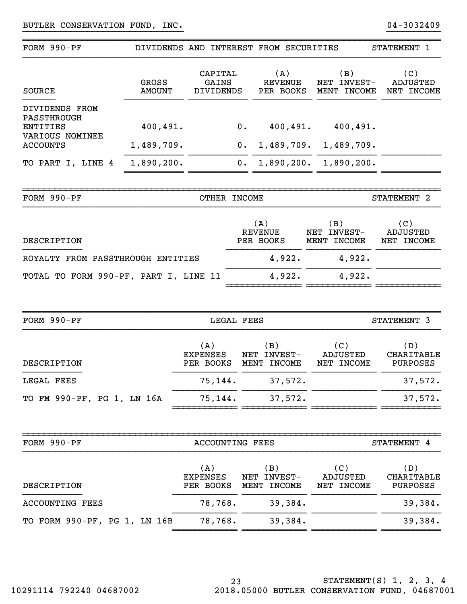| FORM 990-PF                                      | DIVIDENDS AND INTEREST FROM SECURITIES |                                     |                                      |                                    |                                    |                                      | STATEMENT 1                          |
|--------------------------------------------------|----------------------------------------|-------------------------------------|--------------------------------------|------------------------------------|------------------------------------|--------------------------------------|--------------------------------------|
| <b>SOURCE</b>                                    | <b>GROSS</b><br><b>AMOUNT</b>          |                                     | CAPITAL<br>GAINS<br><b>DIVIDENDS</b> |                                    | (A)<br><b>REVENUE</b><br>PER BOOKS | (B)<br>NET INVEST-<br>MENT INCOME    | (C)<br>ADJUSTED<br>NET INCOME        |
| DIVIDENDS FROM<br><b>PASSTHROUGH</b><br>ENTITIES | 400, 491.                              |                                     |                                      | 0.                                 | 400,491.                           | 400, 491.                            |                                      |
| VARIOUS NOMINEE<br><b>ACCOUNTS</b>               | 1,489,709.                             |                                     |                                      | 0.                                 | 1,489,709.                         | 1,489,709.                           |                                      |
| TO PART I, LINE 4                                | 1,890,200.                             |                                     |                                      | 0.                                 |                                    | $1,890,200.$ $1,890,200.$            |                                      |
|                                                  |                                        |                                     |                                      |                                    |                                    |                                      |                                      |
| FORM $990-PF$                                    |                                        |                                     | OTHER INCOME                         |                                    |                                    |                                      | STATEMENT <sub>2</sub>               |
| DESCRIPTION                                      |                                        |                                     |                                      | (A)<br><b>REVENUE</b><br>PER BOOKS |                                    | (B)<br>NET INVEST-<br>MENT INCOME    | (C)<br><b>ADJUSTED</b><br>NET INCOME |
| ROYALTY FROM PASSTHROUGH ENTITIES                |                                        |                                     |                                      |                                    | 4,922.                             | 4,922.                               |                                      |
| TOTAL TO FORM 990-PF, PART I, LINE 11            |                                        |                                     |                                      |                                    | 4,922.                             | 4,922.                               |                                      |
|                                                  |                                        |                                     |                                      |                                    |                                    |                                      |                                      |
| FORM 990-PF                                      |                                        |                                     | LEGAL FEES                           |                                    |                                    |                                      | STATEMENT 3                          |
| DESCRIPTION                                      |                                        | (A)<br><b>EXPENSES</b><br>PER BOOKS |                                      | (B)<br>NET INVEST-<br>MENT INCOME  |                                    | (C)<br><b>ADJUSTED</b><br>NET INCOME | (D)<br>CHARITABLE<br>PURPOSES        |
| LEGAL FEES                                       |                                        |                                     | 75,144.                              |                                    | 37,572                             |                                      | 37,572.                              |
| TO FM 990-PF, PG 1, LN 16A                       |                                        |                                     | 75,144.                              |                                    | 37,572.                            |                                      | 37,572.                              |
|                                                  |                                        |                                     |                                      |                                    |                                    |                                      |                                      |
| FORM 990-PF                                      |                                        |                                     |                                      | <b>ACCOUNTING FEES</b>             |                                    |                                      | STATEMENT 4                          |
| DESCRIPTION                                      |                                        | (A)<br><b>EXPENSES</b><br>PER BOOKS |                                      | (B)<br>NET INVEST-<br>MENT INCOME  |                                    | (C)<br>ADJUSTED<br>NET INCOME        | (D)<br><b>CHARITABLE</b><br>PURPOSES |
| <b>ACCOUNTING FEES</b>                           |                                        |                                     | 78,768.                              |                                    | 39,384.                            |                                      | 39,384.                              |
| TO FORM 990-PF, PG 1, LN 16B                     |                                        |                                     | 78,768.                              |                                    | 39,384.                            |                                      | 39,384.                              |
|                                                  |                                        |                                     |                                      |                                    |                                    |                                      |                                      |

}}}}}}}}}}}}}}}}}}}}}}}}}}}}}} }}}}}}}}}}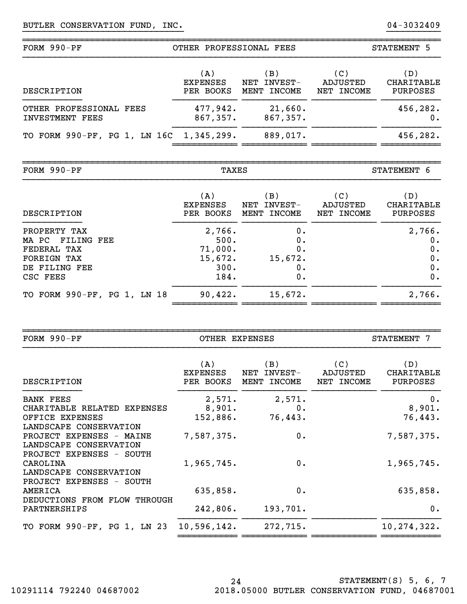| $FORM 990-PF$                              | OTHER PROFESSIONAL FEES             |                                      | STATEMENT 5                   |                                             |
|--------------------------------------------|-------------------------------------|--------------------------------------|-------------------------------|---------------------------------------------|
| DESCRIPTION                                | (A)<br><b>EXPENSES</b><br>PER BOOKS | (B)<br>INVEST-<br>NET<br>MENT INCOME | (C)<br>ADJUSTED<br>NET INCOME | (D)<br><b>CHARITABLE</b><br><b>PURPOSES</b> |
| OTHER PROFESSIONAL FEES<br>INVESTMENT FEES | 477,942.<br>867,357.                | 21,660.<br>867,357.                  |                               | 456,282.                                    |
| TO FORM 990-PF, PG 1, LN 16C 1,345,299.    |                                     | 889,017.                             |                               | 456,282.                                    |

~~~~~~~~~~~~~~~~~~~~~~~~~~~~~~~~~~~~~~~~~~~~~~~~~~~~~~~~~~~~~~~~~~~~~~~~~~~~~~

}}}}}}}}}}}}}}}}}}}}}}}}}}}}}} }}}}}}}}}}

~~~~~~~~~~~~~~~~~~~~~~~~~~~~~~~~~~~~~~~~~~~~~~~~~~~~~~~~~~~~~~~~~~~~~~~~~~~~~~

| FORM $990-PF$               | TAXES           |                               |            | STATEMENT 6       |  |
|-----------------------------|-----------------|-------------------------------|------------|-------------------|--|
| DESCRIPTION                 | (A)             | $\left(\,\mathbf{B}\,\right)$ | (C)        | (D)               |  |
|                             | <b>EXPENSES</b> | NET INVEST-                   | ADJUSTED   | <b>CHARITABLE</b> |  |
|                             | PER BOOKS       | MENT INCOME                   | NET INCOME | <b>PURPOSES</b>   |  |
| PROPERTY TAX                | 2,766.          | ο.                            |            | 2,766.            |  |
| MA PC FILING FEE            | 500.            | ο.                            |            | 0.                |  |
| FEDERAL TAX                 | 71,000.         | ο.                            |            | 0.                |  |
| <b>FOREIGN TAX</b>          | 15,672.         | 15,672.                       |            | 0.                |  |
| DE FILING FEE               | 300.            | ο.                            |            | 0.                |  |
| CSC FEES                    | 184.            | 0.                            |            | 0.                |  |
| TO FORM 990-PF, PG 1, LN 18 | 90,422.         | 15,672.                       |            | 2,766.            |  |

~~~~~~~~~~~~~~~~~~~~~~~~~~~~~~~~~~~~~~~~~~~~~~~~~~~~~~~~~~~~~~~~~~~~~~~~~~~~~~

| FORM $990-PF$                        |                                     | OTHER EXPENSES<br>STATEMENT 7        |                               |                                      |
|--------------------------------------|-------------------------------------|--------------------------------------|-------------------------------|--------------------------------------|
| DESCRIPTION                          | (A)<br><b>EXPENSES</b><br>PER BOOKS | (B)<br>NET INVEST-<br>MENT<br>INCOME | (C)<br>ADJUSTED<br>NET INCOME | (D)<br>CHARITABLE<br><b>PURPOSES</b> |
| <b>BANK FEES</b>                     | 2,571.                              | 2,571.                               |                               | 0.                                   |
| CHARITABLE RELATED EXPENSES          | 8,901.                              | $0$ .                                |                               | 8,901.                               |
| OFFICE EXPENSES                      | 152,886.                            | 76,443.                              |                               | 76,443.                              |
| LANDSCAPE CONSERVATION               |                                     |                                      |                               |                                      |
| PROJECT EXPENSES - MAINE             | 7,587,375.                          | 0.                                   |                               | 7,587,375.                           |
| LANDSCAPE CONSERVATION               |                                     |                                      |                               |                                      |
| PROJECT EXPENSES - SOUTH<br>CAROLINA | 1,965,745.                          | 0.                                   |                               | 1,965,745.                           |
| LANDSCAPE CONSERVATION               |                                     |                                      |                               |                                      |
| PROJECT EXPENSES - SOUTH             |                                     |                                      |                               |                                      |
| AMERICA                              | 635,858.                            | 0.                                   |                               | 635,858.                             |
| DEDUCTIONS FROM FLOW THROUGH         |                                     |                                      |                               |                                      |
| PARTNERSHIPS                         | 242,806.                            | 193,701.                             |                               | 0.                                   |
| TO FORM 990-PF, PG 1, LN 23          | 10,596,142.                         | 272,715.                             |                               | 10,274,322.                          |
|                                      |                                     |                                      |                               |                                      |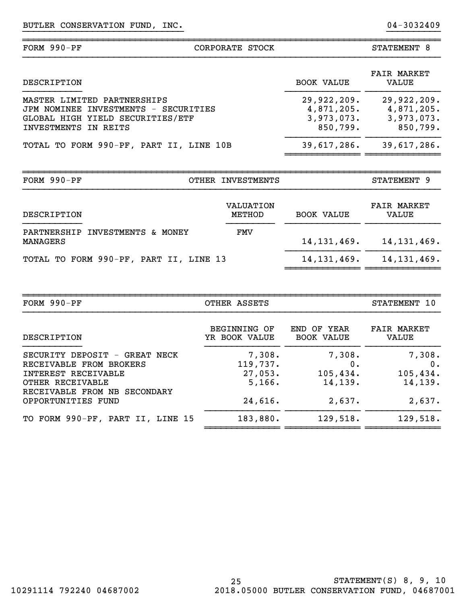| FORM 990-PF                                                                                                                        | CORPORATE STOCK                                     |                                                     | STATEMENT 8                 |
|------------------------------------------------------------------------------------------------------------------------------------|-----------------------------------------------------|-----------------------------------------------------|-----------------------------|
| DESCRIPTION                                                                                                                        |                                                     | <b>BOOK VALUE</b>                                   | <b>FAIR MARKET</b><br>VALUE |
| MASTER LIMITED PARTNERSHIPS<br>INVESTMENTS - SECURITIES<br>JPM NOMINEE<br>GLOBAL HIGH YIELD SECURITIES/ETF<br>INVESTMENTS IN REITS | 29,922,209.<br>4,871,205.<br>3,973,073.<br>850,799. | 29,922,209.<br>4,871,205.<br>3,973,073.<br>850,799. |                             |
| TOTAL TO FORM 990-PF, PART II, LINE 10B                                                                                            |                                                     | 39,617,286.                                         | 39,617,286.                 |
| $FORM 990-PF$                                                                                                                      | OTHER INVESTMENTS                                   |                                                     | STATEMENT 9                 |
|                                                                                                                                    |                                                     |                                                     |                             |
| DESCRIPTION                                                                                                                        | VALUATION<br>METHOD                                 | <b>BOOK VALUE</b>                                   | <b>FAIR MARKET</b><br>VALUE |
| PARTNERSHIP<br>INVESTMENTS & MONEY<br>MANAGERS                                                                                     | FMV                                                 | 14, 131, 469.                                       | 14, 131, 469.               |

}}}}}}}}}}}}}}}}}}}}}}}}}}}}}} }}}}}}}}}}

| $FORM 990-PF$                                      | OTHER ASSETS        |                   | STATEMENT 10       |
|----------------------------------------------------|---------------------|-------------------|--------------------|
| DESCRIPTION                                        | <b>BEGINNING OF</b> | END OF YEAR       | <b>FAIR MARKET</b> |
|                                                    | YR BOOK VALUE       | <b>BOOK VALUE</b> | VALUE              |
| SECURITY DEPOSIT - GREAT NECK                      | 7,308.              | 7,308.            | 7,308.             |
| RECEIVABLE FROM BROKERS                            | 119,737.            | 0.                | $0$ .              |
| INTEREST RECEIVABLE                                | 27,053.             | 105,434.          | 105,434.           |
| OTHER RECEIVABLE                                   | 5,166.              | 14, 139.          | 14,139.            |
| RECEIVABLE FROM NB SECONDARY<br>OPPORTUNITIES FUND | 24,616.             | 2,637.            | 2,637.             |
| TO FORM 990-PF, PART II, LINE 15                   | 183,880.            | 129,518.          | 129,518.           |

~~~~~~~~~~~~~~~~~~~~~~~~~~~~~~~~~~~~~~~~~~~~~~~~~~~~~~~~~~~~~~~~~~~~~~~~~~~~~~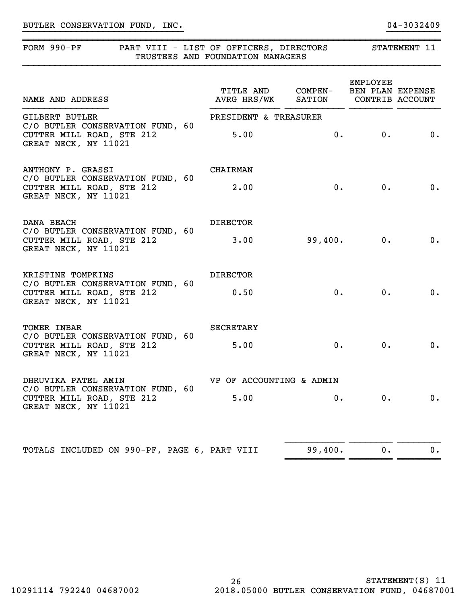# BUTLER CONSERVATION FUND, INC. 2008 2014 01 2032409

# FORM 990-PF PART VIII - LIST OF OFFICERS, DIRECTORS STATEMENT 11 TRUSTEES AND FOUNDATION MANAGERS

| NAME AND ADDRESS                                                                                               | TITLE AND COMPEN-<br>AVRG HRS/WK SATION |         | <b>EMPLOYEE</b><br>BEN PLAN EXPENSE<br>CONTRIB ACCOUNT |                             |
|----------------------------------------------------------------------------------------------------------------|-----------------------------------------|---------|--------------------------------------------------------|-----------------------------|
| <b>GILBERT BUTLER</b><br>C/O BUTLER CONSERVATION FUND, 60<br>CUTTER MILL ROAD, STE 212<br>GREAT NECK, NY 11021 | PRESIDENT & TREASURER<br>5.00           | 0.      | 0.                                                     | $\overline{\phantom{a}}$ 0. |
| ANTHONY P. GRASSI<br>C/O BUTLER CONSERVATION FUND, 60<br>CUTTER MILL ROAD, STE 212<br>GREAT NECK, NY 11021     | <b>CHAIRMAN</b><br>2.00                 | 0.      | 0.                                                     | 0.                          |
| DANA BEACH<br>C/O BUTLER CONSERVATION FUND, 60<br>CUTTER MILL ROAD, STE 212<br>GREAT NECK, NY 11021            | <b>DIRECTOR</b><br>3.00                 | 99,400. | 0.                                                     | 0.                          |
| KRISTINE TOMPKINS<br>C/O BUTLER CONSERVATION FUND, 60<br>CUTTER MILL ROAD, STE 212<br>GREAT NECK, NY 11021     | <b>DIRECTOR</b><br>0.50                 | 0.      | 0.                                                     | $\mathbf 0$ .               |
| TOMER INBAR<br>C/O BUTLER CONSERVATION FUND, 60<br>CUTTER MILL ROAD, STE 212<br>GREAT NECK, NY 11021           | <b>SECRETARY</b><br>5.00                | 0.      | 0.                                                     | 0.                          |
| DHRUVIKA PATEL AMIN<br>C/O BUTLER CONSERVATION FUND, 60<br>CUTTER MILL ROAD, STE 212<br>GREAT NECK, NY 11021   | VP OF ACCOUNTING & ADMIN<br>5.00        | $0$ .   | 0.                                                     | 0.                          |
| TOTALS INCLUDED ON 990-PF, PAGE 6, PART VIII                                                                   |                                         | 99,400. | 0.                                                     | 0.                          |

~~~~~~~~~~~ ~~~~~~~~ ~~~~~~~~

}}}}}}}}}}}}}}}}}}}}}}}}}}}}}} }}}}}}}}}}

~~~~~~~~~~~~~~~~~~~~~~~~~~~~~~~~~~~~~~~~~~~~~~~~~~~~~~~~~~~~~~~~~~~~~~~~~~~~~~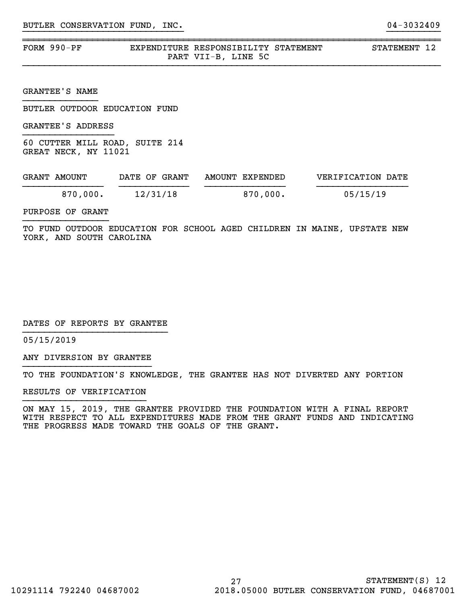| FORM 990-PF | EXPENDITURE RESPONSIBILITY STATEMENT |                     |  |
|-------------|--------------------------------------|---------------------|--|
|             |                                      | PART VII-B, LINE 5C |  |

}}}}}}}}}}}}}}}}}}}}}}}}}}}}}} }}}}}}}}}}

~~~~~~~~~~~~~~~~~~~~~~~~~~~~~~~~~~~~~~~~~~~~~~~~~~~~~~~~~~~~~~~~~~~~~~~~~~~~~~

STATEMENT 12

GRANTEE'S NAME

BUTLER OUTDOOR EDUCATION FUND

GRANTEE'S ADDRESS

60 CUTTER MILL ROAD, SUITE 214 GREAT NECK, NY 11021

| GRANT AMOUNT | DATE OF GRANT | AMOUNT EXPENDED | VERIFICATION DATE |
|--------------|---------------|-----------------|-------------------|
| 870.000.     | 12/31/18      | 870,000.        | 05/15/19          |

PURPOSE OF GRANT

TO FUND OUTDOOR EDUCATION FOR SCHOOL AGED CHILDREN IN MAINE, UPSTATE NEW YORK, AND SOUTH CAROLINA

DATES OF REPORTS BY GRANTEE

05/15/2019

ANY DIVERSION BY GRANTEE }}}}}}}}}}}}}}}}}}}}}}}}

TO THE FOUNDATION'S KNOWLEDGE, THE GRANTEE HAS NOT DIVERTED ANY PORTION

RESULTS OF VERIFICATION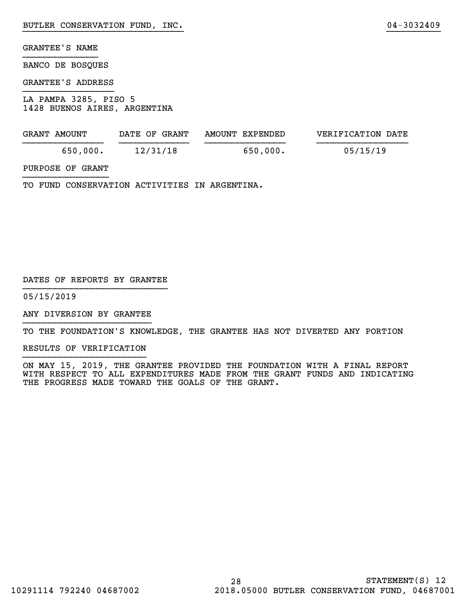BANCO DE BOSQUES

### GRANTEE'S ADDRESS

LA PAMPA 3285, PISO 5 1428 BUENOS AIRES, ARGENTINA

| GRANT AMOUNT | DATE OF GRANT | AMOUNT EXPENDED | VERIFICATION DATE |
|--------------|---------------|-----------------|-------------------|
| 650,000.     | 12/31/18      | 650,000.        | 05/15/19          |

}}}}}}}}}}}}}}}}}}}}}}}}}}}}}} }}}}}}}}}}

# PURPOSE OF GRANT

TO FUND CONSERVATION ACTIVITIES IN ARGENTINA.

### DATES OF REPORTS BY GRANTEE

05/15/2019

ANY DIVERSION BY GRANTEE }}}}}}}}}}}}}}}}}}}}}}}}

TO THE FOUNDATION'S KNOWLEDGE, THE GRANTEE HAS NOT DIVERTED ANY PORTION

RESULTS OF VERIFICATION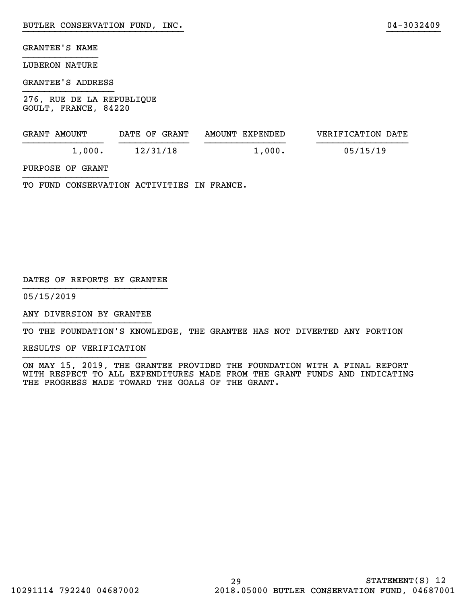### LUBERON NATURE

### GRANTEE'S ADDRESS

276, RUE DE LA REPUBLIQUE GOULT, FRANCE, 84220

| GRANT AMOUNT | DATE OF GRANT | AMOUNT EXPENDED | VERIFICATION DATE |
|--------------|---------------|-----------------|-------------------|
| 1,000.       | 12/31/18      | 1,000.          | 05/15/19          |

}}}}}}}}}}}}}}}}}}}}}}}}}}}}}} }}}}}}}}}}

## PURPOSE OF GRANT

TO FUND CONSERVATION ACTIVITIES IN FRANCE.

### DATES OF REPORTS BY GRANTEE

05/15/2019

ANY DIVERSION BY GRANTEE }}}}}}}}}}}}}}}}}}}}}}}}

TO THE FOUNDATION'S KNOWLEDGE, THE GRANTEE HAS NOT DIVERTED ANY PORTION

RESULTS OF VERIFICATION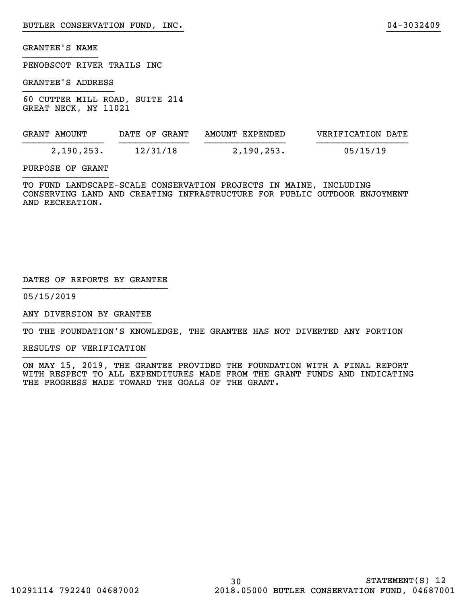PENOBSCOT RIVER TRAILS INC

GRANTEE'S ADDRESS

60 CUTTER MILL ROAD, SUITE 214 GREAT NECK, NY 11021

| GRANT AMOUNT | DATE OF GRANT | AMOUNT EXPENDED | VERIFICATION DATE |
|--------------|---------------|-----------------|-------------------|
| 2,190,253.   | 12/31/18      | 2,190,253.      | 05/15/19          |

}}}}}}}}}}}}}}}}}}}}}}}}}}}}}} }}}}}}}}}}

### PURPOSE OF GRANT

TO FUND LANDSCAPE-SCALE CONSERVATION PROJECTS IN MAINE, INCLUDING CONSERVING LAND AND CREATING INFRASTRUCTURE FOR PUBLIC OUTDOOR ENJOYMENT AND RECREATION.

### DATES OF REPORTS BY GRANTEE

05/15/2019

ANY DIVERSION BY GRANTEE }}}}}}}}}}}}}}}}}}}}}}}}

TO THE FOUNDATION'S KNOWLEDGE, THE GRANTEE HAS NOT DIVERTED ANY PORTION

RESULTS OF VERIFICATION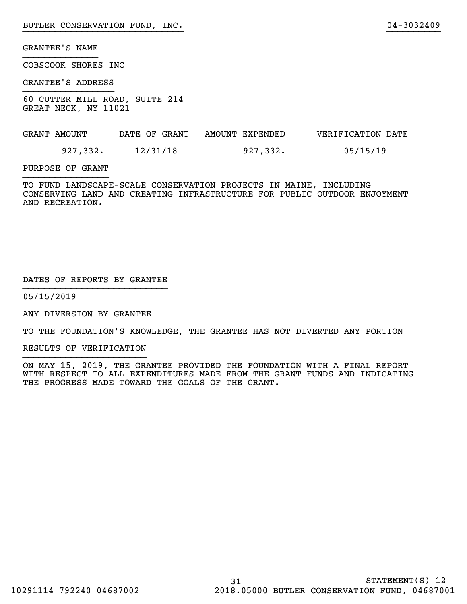COBSCOOK SHORES INC

GRANTEE'S ADDRESS

60 CUTTER MILL ROAD, SUITE 214 GREAT NECK, NY 11021

| GRANT AMOUNT | DATE OF GRANT | AMOUNT EXPENDED | VERIFICATION DATE |
|--------------|---------------|-----------------|-------------------|
| 927,332.     | 12/31/18      | 927,332.        | 05/15/19          |

}}}}}}}}}}}}}}}}}}}}}}}}}}}}}} }}}}}}}}}}

### PURPOSE OF GRANT

TO FUND LANDSCAPE-SCALE CONSERVATION PROJECTS IN MAINE, INCLUDING CONSERVING LAND AND CREATING INFRASTRUCTURE FOR PUBLIC OUTDOOR ENJOYMENT AND RECREATION.

### DATES OF REPORTS BY GRANTEE

05/15/2019

ANY DIVERSION BY GRANTEE }}}}}}}}}}}}}}}}}}}}}}}}

TO THE FOUNDATION'S KNOWLEDGE, THE GRANTEE HAS NOT DIVERTED ANY PORTION

RESULTS OF VERIFICATION